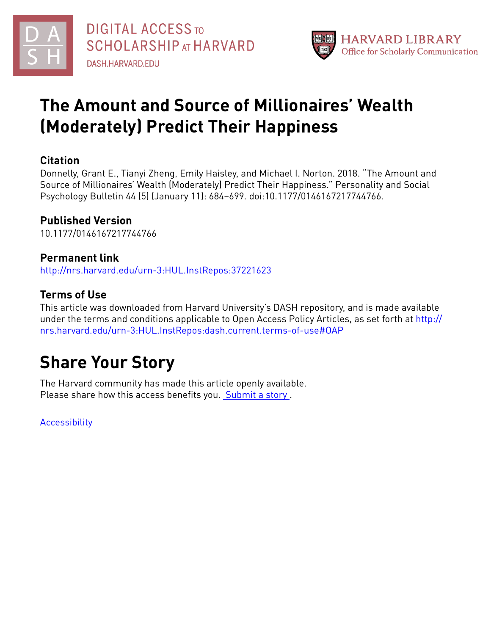



## **The Amount and Source of Millionaires' Wealth (Moderately) Predict Their Happiness**

### **Citation**

Donnelly, Grant E., Tianyi Zheng, Emily Haisley, and Michael I. Norton. 2018. "The Amount and Source of Millionaires' Wealth (Moderately) Predict Their Happiness." Personality and Social Psychology Bulletin 44 (5) (January 11): 684–699. doi:10.1177/0146167217744766.

## **Published Version**

10.1177/0146167217744766

## **Permanent link**

<http://nrs.harvard.edu/urn-3:HUL.InstRepos:37221623>

## **Terms of Use**

This article was downloaded from Harvard University's DASH repository, and is made available under the terms and conditions applicable to Open Access Policy Articles, as set forth at [http://](http://nrs.harvard.edu/urn-3:HUL.InstRepos:dash.current.terms-of-use#OAP) [nrs.harvard.edu/urn-3:HUL.InstRepos:dash.current.terms-of-use#OAP](http://nrs.harvard.edu/urn-3:HUL.InstRepos:dash.current.terms-of-use#OAP)

# **Share Your Story**

The Harvard community has made this article openly available. Please share how this access benefits you. [Submit](http://osc.hul.harvard.edu/dash/open-access-feedback?handle=&title=The%20Amount%20and%20Source%20of%20Millionaires%E2%80%99%20Wealth%20(Moderately)%20Predict%20Their%20Happiness&community=1/3345929&collection=1/3345930&owningCollection1/3345930&harvardAuthors=6928307af3c4589af725060a3adfb0bd&department) a story .

**[Accessibility](https://dash.harvard.edu/pages/accessibility)**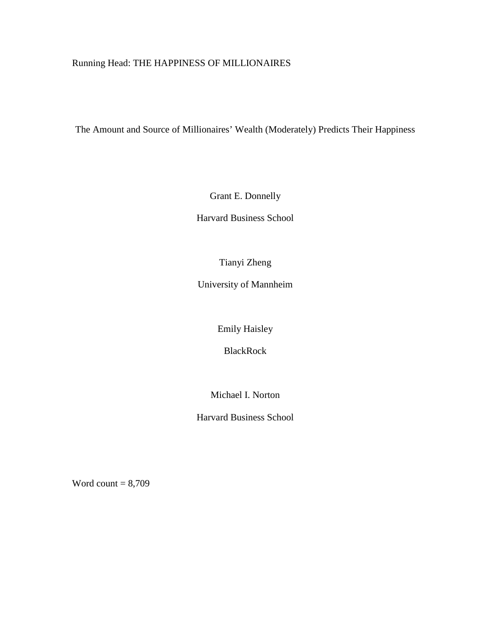### Running Head: THE HAPPINESS OF MILLIONAIRES

The Amount and Source of Millionaires' Wealth (Moderately) Predicts Their Happiness

Grant E. Donnelly

Harvard Business School

Tianyi Zheng

University of Mannheim

Emily Haisley

BlackRock

Michael I. Norton

Harvard Business School

Word count  $= 8,709$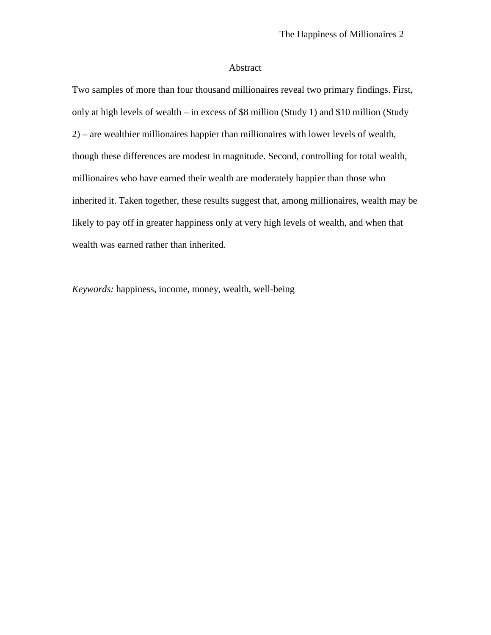#### Abstract

Two samples of more than four thousand millionaires reveal two primary findings. First, only at high levels of wealth – in excess of \$8 million (Study 1) and \$10 million (Study 2) – are wealthier millionaires happier than millionaires with lower levels of wealth, though these differences are modest in magnitude. Second, controlling for total wealth, millionaires who have earned their wealth are moderately happier than those who inherited it. Taken together, these results suggest that, among millionaires, wealth may be likely to pay off in greater happiness only at very high levels of wealth, and when that wealth was earned rather than inherited.

*Keywords:* happiness, income, money, wealth, well-being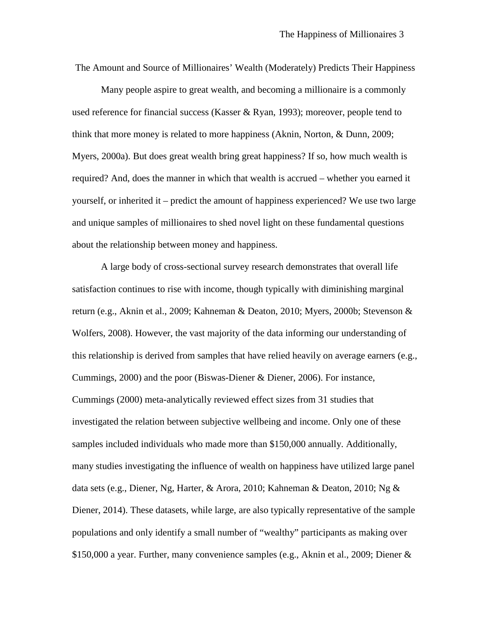The Amount and Source of Millionaires' Wealth (Moderately) Predicts Their Happiness

Many people aspire to great wealth, and becoming a millionaire is a commonly used reference for financial success (Kasser & Ryan, 1993); moreover, people tend to think that more money is related to more happiness (Aknin, Norton, & Dunn, 2009; Myers, 2000a). But does great wealth bring great happiness? If so, how much wealth is required? And, does the manner in which that wealth is accrued – whether you earned it yourself, or inherited it – predict the amount of happiness experienced? We use two large and unique samples of millionaires to shed novel light on these fundamental questions about the relationship between money and happiness.

A large body of cross-sectional survey research demonstrates that overall life satisfaction continues to rise with income, though typically with diminishing marginal return (e.g., Aknin et al., 2009; Kahneman & Deaton, 2010; Myers, 2000b; Stevenson & Wolfers, 2008). However, the vast majority of the data informing our understanding of this relationship is derived from samples that have relied heavily on average earners (e.g., Cummings, 2000) and the poor (Biswas-Diener & Diener, 2006). For instance, Cummings (2000) meta-analytically reviewed effect sizes from 31 studies that investigated the relation between subjective wellbeing and income. Only one of these samples included individuals who made more than \$150,000 annually. Additionally, many studies investigating the influence of wealth on happiness have utilized large panel data sets (e.g., Diener, Ng, Harter, & Arora, 2010; Kahneman & Deaton, 2010; Ng & Diener, 2014). These datasets, while large, are also typically representative of the sample populations and only identify a small number of "wealthy" participants as making over \$150,000 a year. Further, many convenience samples (e.g., Aknin et al., 2009; Diener &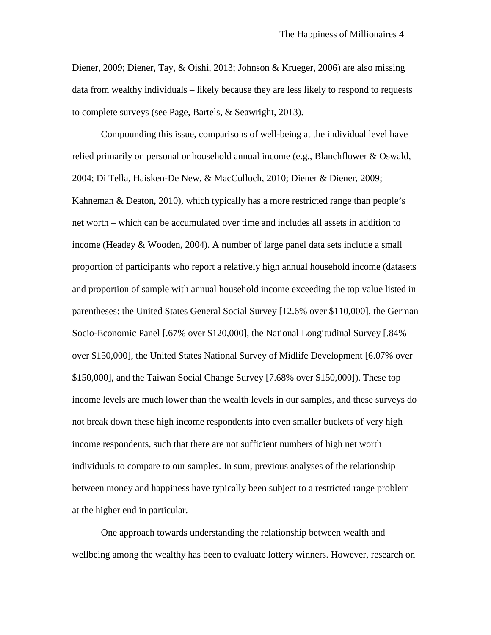Diener, 2009; Diener, Tay, & Oishi, 2013; Johnson & Krueger, 2006) are also missing data from wealthy individuals – likely because they are less likely to respond to requests to complete surveys (see Page, Bartels, & Seawright, 2013).

Compounding this issue, comparisons of well-being at the individual level have relied primarily on personal or household annual income (e.g., Blanchflower & Oswald, 2004; Di Tella, Haisken-De New, & MacCulloch, 2010; Diener & Diener, 2009; Kahneman  $\&$  Deaton, 2010), which typically has a more restricted range than people's net worth – which can be accumulated over time and includes all assets in addition to income (Headey & Wooden, 2004). A number of large panel data sets include a small proportion of participants who report a relatively high annual household income (datasets and proportion of sample with annual household income exceeding the top value listed in parentheses: the United States General Social Survey [12.6% over \$110,000], the German Socio-Economic Panel [.67% over \$120,000], the National Longitudinal Survey [.84% over \$150,000], the United States National Survey of Midlife Development [6.07% over \$150,000], and the Taiwan Social Change Survey [7.68% over \$150,000]). These top income levels are much lower than the wealth levels in our samples, and these surveys do not break down these high income respondents into even smaller buckets of very high income respondents, such that there are not sufficient numbers of high net worth individuals to compare to our samples. In sum, previous analyses of the relationship between money and happiness have typically been subject to a restricted range problem – at the higher end in particular.

One approach towards understanding the relationship between wealth and wellbeing among the wealthy has been to evaluate lottery winners. However, research on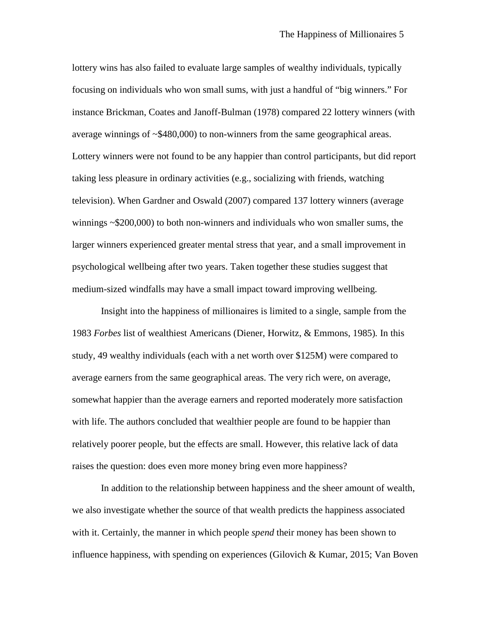lottery wins has also failed to evaluate large samples of wealthy individuals, typically focusing on individuals who won small sums, with just a handful of "big winners." For instance Brickman, Coates and Janoff-Bulman (1978) compared 22 lottery winners (with average winnings of ~\$480,000) to non-winners from the same geographical areas. Lottery winners were not found to be any happier than control participants, but did report taking less pleasure in ordinary activities (e.g., socializing with friends, watching television). When Gardner and Oswald (2007) compared 137 lottery winners (average winnings ~\$200,000) to both non-winners and individuals who won smaller sums, the larger winners experienced greater mental stress that year, and a small improvement in psychological wellbeing after two years. Taken together these studies suggest that medium-sized windfalls may have a small impact toward improving wellbeing.

Insight into the happiness of millionaires is limited to a single, sample from the 1983 *Forbes* list of wealthiest Americans (Diener, Horwitz, & Emmons, 1985)*.* In this study, 49 wealthy individuals (each with a net worth over \$125M) were compared to average earners from the same geographical areas. The very rich were, on average, somewhat happier than the average earners and reported moderately more satisfaction with life. The authors concluded that wealthier people are found to be happier than relatively poorer people, but the effects are small. However, this relative lack of data raises the question: does even more money bring even more happiness?

In addition to the relationship between happiness and the sheer amount of wealth, we also investigate whether the source of that wealth predicts the happiness associated with it. Certainly, the manner in which people *spend* their money has been shown to influence happiness, with spending on experiences (Gilovich & Kumar, 2015; Van Boven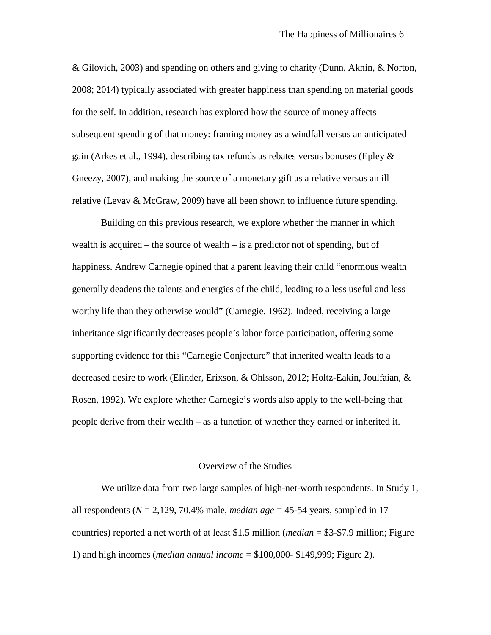& Gilovich, 2003) and spending on others and giving to charity (Dunn, Aknin, & Norton, 2008; 2014) typically associated with greater happiness than spending on material goods for the self. In addition, research has explored how the source of money affects subsequent spending of that money: framing money as a windfall versus an anticipated gain (Arkes et al., 1994), describing tax refunds as rebates versus bonuses (Epley & Gneezy, 2007), and making the source of a monetary gift as a relative versus an ill relative (Levav  $\&$  McGraw, 2009) have all been shown to influence future spending.

Building on this previous research, we explore whether the manner in which wealth is acquired – the source of wealth – is a predictor not of spending, but of happiness. Andrew Carnegie opined that a parent leaving their child "enormous wealth generally deadens the talents and energies of the child, leading to a less useful and less worthy life than they otherwise would" (Carnegie, 1962). Indeed, receiving a large inheritance significantly decreases people's labor force participation, offering some supporting evidence for this "Carnegie Conjecture" that inherited wealth leads to a decreased desire to work (Elinder, Erixson, & Ohlsson, 2012; Holtz-Eakin, Joulfaian, & Rosen, 1992). We explore whether Carnegie's words also apply to the well-being that people derive from their wealth – as a function of whether they earned or inherited it.

#### Overview of the Studies

We utilize data from two large samples of high-net-worth respondents. In Study 1, all respondents ( $N = 2,129, 70.4\%$  male, *median age* = 45-54 years, sampled in 17 countries) reported a net worth of at least \$1.5 million (*median* = \$3-\$7.9 million; Figure 1) and high incomes (*median annual income* = \$100,000- \$149,999; Figure 2).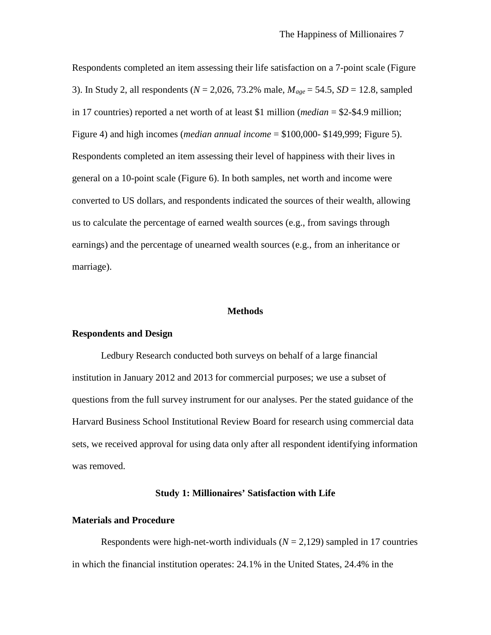Respondents completed an item assessing their life satisfaction on a 7-point scale (Figure 3). In Study 2, all respondents (*N* = 2,026, 73.2% male, *Mage* = 54.5, *SD* = 12.8, sampled in 17 countries) reported a net worth of at least \$1 million (*median* = \$2-\$4.9 million; Figure 4) and high incomes (*median annual income* = \$100,000- \$149,999; Figure 5). Respondents completed an item assessing their level of happiness with their lives in general on a 10-point scale (Figure 6). In both samples, net worth and income were converted to US dollars, and respondents indicated the sources of their wealth, allowing us to calculate the percentage of earned wealth sources (e.g., from savings through earnings) and the percentage of unearned wealth sources (e.g., from an inheritance or marriage).

#### **Methods**

#### **Respondents and Design**

Ledbury Research conducted both surveys on behalf of a large financial institution in January 2012 and 2013 for commercial purposes; we use a subset of questions from the full survey instrument for our analyses. Per the stated guidance of the Harvard Business School Institutional Review Board for research using commercial data sets, we received approval for using data only after all respondent identifying information was removed.

#### **Study 1: Millionaires' Satisfaction with Life**

#### **Materials and Procedure**

Respondents were high-net-worth individuals  $(N = 2,129)$  sampled in 17 countries in which the financial institution operates: 24.1% in the United States, 24.4% in the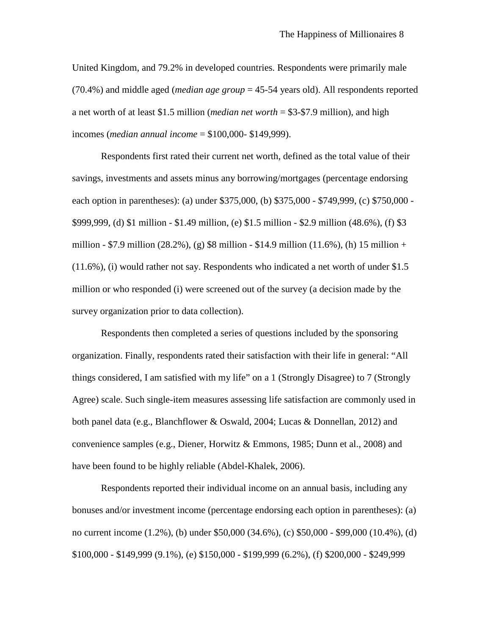United Kingdom, and 79.2% in developed countries. Respondents were primarily male (70.4%) and middle aged (*median age group* = 45-54 years old). All respondents reported a net worth of at least \$1.5 million (*median net worth* = \$3-\$7.9 million), and high incomes (*median annual income* = \$100,000- \$149,999).

Respondents first rated their current net worth, defined as the total value of their savings, investments and assets minus any borrowing/mortgages (percentage endorsing each option in parentheses): (a) under \$375,000, (b) \$375,000 - \$749,999, (c) \$750,000 - \$999,999, (d) \$1 million - \$1.49 million, (e) \$1.5 million - \$2.9 million (48.6%), (f) \$3 million - \$7.9 million (28.2%), (g) \$8 million - \$14.9 million (11.6%), (h) 15 million + (11.6%), (i) would rather not say. Respondents who indicated a net worth of under \$1.5 million or who responded (i) were screened out of the survey (a decision made by the survey organization prior to data collection).

Respondents then completed a series of questions included by the sponsoring organization. Finally, respondents rated their satisfaction with their life in general: "All things considered, I am satisfied with my life" on a 1 (Strongly Disagree) to 7 (Strongly Agree) scale. Such single-item measures assessing life satisfaction are commonly used in both panel data (e.g., Blanchflower & Oswald, 2004; Lucas & Donnellan, 2012) and convenience samples (e.g., Diener, Horwitz & Emmons, 1985; Dunn et al., 2008) and have been found to be highly reliable (Abdel-Khalek, 2006).

Respondents reported their individual income on an annual basis, including any bonuses and/or investment income (percentage endorsing each option in parentheses): (a) no current income (1.2%), (b) under \$50,000 (34.6%), (c) \$50,000 - \$99,000 (10.4%), (d) \$100,000 - \$149,999 (9.1%), (e) \$150,000 - \$199,999 (6.2%), (f) \$200,000 - \$249,999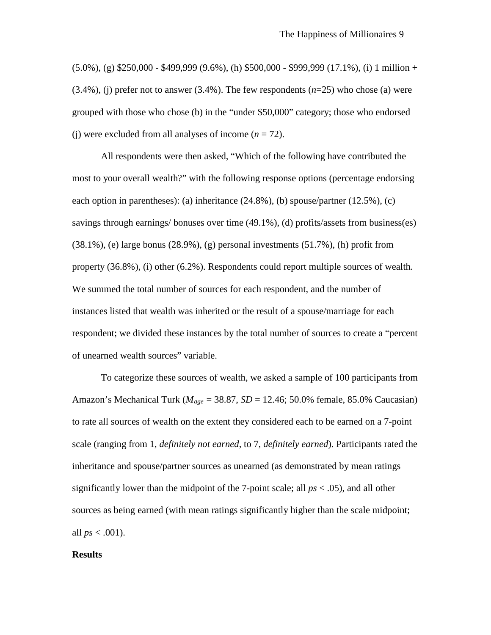$(5.0\%)$ , (g) \$250,000 - \$499,999 (9.6%), (h) \$500,000 - \$999,999 (17.1%), (i) 1 million +  $(3.4\%)$ , (j) prefer not to answer  $(3.4\%)$ . The few respondents  $(n=25)$  who chose (a) were grouped with those who chose (b) in the "under \$50,000" category; those who endorsed (i) were excluded from all analyses of income  $(n = 72)$ .

All respondents were then asked, "Which of the following have contributed the most to your overall wealth?" with the following response options (percentage endorsing each option in parentheses): (a) inheritance (24.8%), (b) spouse/partner (12.5%), (c) savings through earnings/ bonuses over time (49.1%), (d) profits/assets from business(es)  $(38.1\%)$ , (e) large bonus  $(28.9\%)$ , (g) personal investments  $(51.7\%)$ , (h) profit from property (36.8%), (i) other (6.2%). Respondents could report multiple sources of wealth. We summed the total number of sources for each respondent, and the number of instances listed that wealth was inherited or the result of a spouse/marriage for each respondent; we divided these instances by the total number of sources to create a "percent of unearned wealth sources" variable.

To categorize these sources of wealth, we asked a sample of 100 participants from Amazon's Mechanical Turk (*Mage* = 38.87, *SD* = 12.46; 50.0% female, 85.0% Caucasian) to rate all sources of wealth on the extent they considered each to be earned on a 7-point scale (ranging from 1, *definitely not earned*, to 7, *definitely earned*). Participants rated the inheritance and spouse/partner sources as unearned (as demonstrated by mean ratings significantly lower than the midpoint of the 7-point scale; all *ps* < .05), and all other sources as being earned (with mean ratings significantly higher than the scale midpoint; all *ps* < .001).

#### **Results**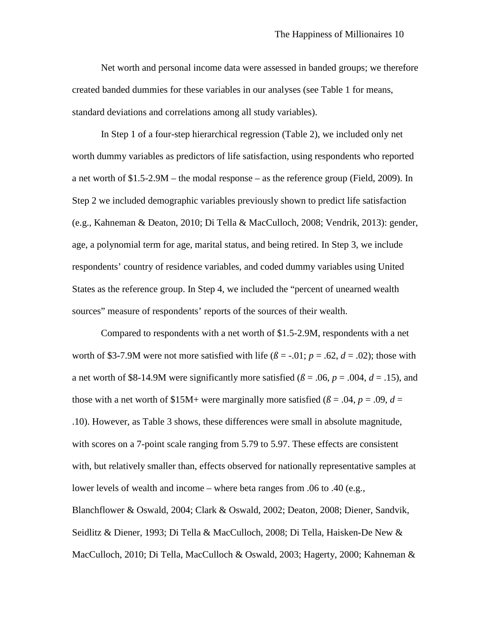Net worth and personal income data were assessed in banded groups; we therefore created banded dummies for these variables in our analyses (see Table 1 for means, standard deviations and correlations among all study variables).

In Step 1 of a four-step hierarchical regression (Table 2), we included only net worth dummy variables as predictors of life satisfaction, using respondents who reported a net worth of \$1.5-2.9M – the modal response – as the reference group (Field, 2009). In Step 2 we included demographic variables previously shown to predict life satisfaction (e.g., Kahneman & Deaton, 2010; Di Tella & MacCulloch, 2008; Vendrik, 2013): gender, age, a polynomial term for age, marital status, and being retired. In Step 3, we include respondents' country of residence variables, and coded dummy variables using United States as the reference group. In Step 4, we included the "percent of unearned wealth sources" measure of respondents' reports of the sources of their wealth.

Compared to respondents with a net worth of \$1.5-2.9M, respondents with a net worth of \$3-7.9M were not more satisfied with life ( $\beta$  = -.01;  $p$  = .62,  $d$  = .02); those with a net worth of \$8-14.9M were significantly more satisfied ( $\beta$  = .06,  $p$  = .004,  $d$  = .15), and those with a net worth of \$15M+ were marginally more satisfied ( $\beta$  = .04,  $p$  = .09,  $d$  = .10). However, as Table 3 shows, these differences were small in absolute magnitude, with scores on a 7-point scale ranging from 5.79 to 5.97. These effects are consistent with, but relatively smaller than, effects observed for nationally representative samples at lower levels of wealth and income – where beta ranges from .06 to .40 (e.g., Blanchflower & Oswald, 2004; Clark & Oswald, 2002; Deaton, 2008; Diener, Sandvik, Seidlitz & Diener, 1993; Di Tella & MacCulloch, 2008; Di Tella, Haisken-De New & MacCulloch, 2010; Di Tella, MacCulloch & Oswald, 2003; Hagerty, 2000; Kahneman &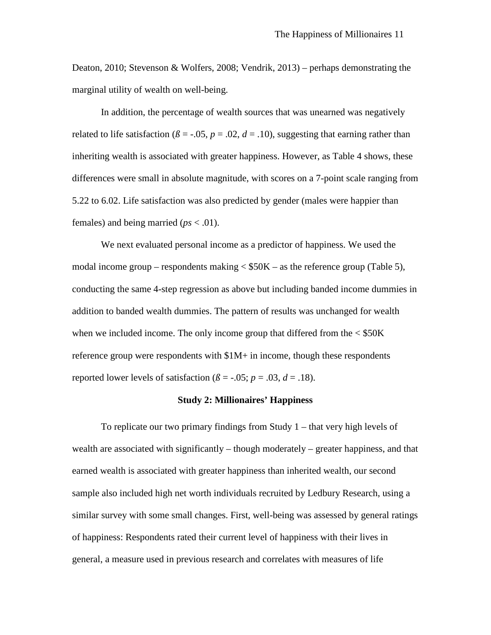Deaton, 2010; Stevenson & Wolfers, 2008; Vendrik, 2013) – perhaps demonstrating the marginal utility of wealth on well-being.

In addition, the percentage of wealth sources that was unearned was negatively related to life satisfaction ( $\beta$  = -.05,  $p$  = .02,  $d$  = .10), suggesting that earning rather than inheriting wealth is associated with greater happiness. However, as Table 4 shows, these differences were small in absolute magnitude, with scores on a 7-point scale ranging from 5.22 to 6.02. Life satisfaction was also predicted by gender (males were happier than females) and being married ( $ps < .01$ ).

We next evaluated personal income as a predictor of happiness. We used the modal income group – respondents making  $\langle$  \$50K – as the reference group (Table 5), conducting the same 4-step regression as above but including banded income dummies in addition to banded wealth dummies. The pattern of results was unchanged for wealth when we included income. The only income group that differed from the  $\langle$  \$50K reference group were respondents with  $$1M+$  in income, though these respondents reported lower levels of satisfaction ( $\beta$  = -.05;  $p$  = .03,  $d$  = .18).

#### **Study 2: Millionaires' Happiness**

To replicate our two primary findings from Study 1 – that very high levels of wealth are associated with significantly – though moderately – greater happiness, and that earned wealth is associated with greater happiness than inherited wealth, our second sample also included high net worth individuals recruited by Ledbury Research, using a similar survey with some small changes. First, well-being was assessed by general ratings of happiness: Respondents rated their current level of happiness with their lives in general, a measure used in previous research and correlates with measures of life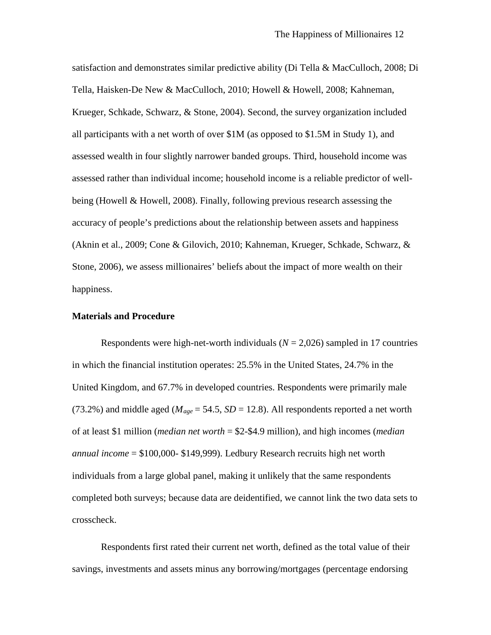satisfaction and demonstrates similar predictive ability (Di Tella & MacCulloch, 2008; Di Tella, Haisken-De New & MacCulloch, 2010; Howell & Howell, 2008; Kahneman, Krueger, Schkade, Schwarz, & Stone, 2004). Second, the survey organization included all participants with a net worth of over \$1M (as opposed to \$1.5M in Study 1), and assessed wealth in four slightly narrower banded groups. Third, household income was assessed rather than individual income; household income is a reliable predictor of wellbeing (Howell & Howell, 2008). Finally, following previous research assessing the accuracy of people's predictions about the relationship between assets and happiness (Aknin et al., 2009; Cone & Gilovich, 2010; Kahneman, Krueger, Schkade, Schwarz, & Stone, 2006), we assess millionaires' beliefs about the impact of more wealth on their happiness.

#### **Materials and Procedure**

Respondents were high-net-worth individuals  $(N = 2,026)$  sampled in 17 countries in which the financial institution operates: 25.5% in the United States, 24.7% in the United Kingdom, and 67.7% in developed countries. Respondents were primarily male (73.2%) and middle aged ( $M_{age} = 54.5$ ,  $SD = 12.8$ ). All respondents reported a net worth of at least \$1 million (*median net worth* = \$2-\$4.9 million), and high incomes (*median annual income* = \$100,000- \$149,999). Ledbury Research recruits high net worth individuals from a large global panel, making it unlikely that the same respondents completed both surveys; because data are deidentified, we cannot link the two data sets to crosscheck.

Respondents first rated their current net worth, defined as the total value of their savings, investments and assets minus any borrowing/mortgages (percentage endorsing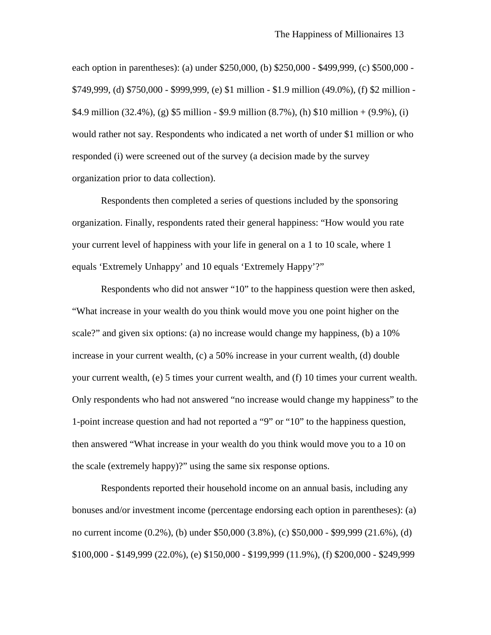each option in parentheses): (a) under \$250,000, (b) \$250,000 - \$499,999, (c) \$500,000 - \$749,999, (d) \$750,000 - \$999,999, (e) \$1 million - \$1.9 million (49.0%), (f) \$2 million - \$4.9 million (32.4%), (g) \$5 million - \$9.9 million (8.7%), (h) \$10 million + (9.9%), (i) would rather not say. Respondents who indicated a net worth of under \$1 million or who responded (i) were screened out of the survey (a decision made by the survey organization prior to data collection).

Respondents then completed a series of questions included by the sponsoring organization. Finally, respondents rated their general happiness: "How would you rate your current level of happiness with your life in general on a 1 to 10 scale, where 1 equals 'Extremely Unhappy' and 10 equals 'Extremely Happy'?"

Respondents who did not answer "10" to the happiness question were then asked, "What increase in your wealth do you think would move you one point higher on the scale?" and given six options: (a) no increase would change my happiness, (b) a 10% increase in your current wealth, (c) a 50% increase in your current wealth, (d) double your current wealth, (e) 5 times your current wealth, and (f) 10 times your current wealth. Only respondents who had not answered "no increase would change my happiness" to the 1-point increase question and had not reported a "9" or "10" to the happiness question, then answered "What increase in your wealth do you think would move you to a 10 on the scale (extremely happy)?" using the same six response options.

Respondents reported their household income on an annual basis, including any bonuses and/or investment income (percentage endorsing each option in parentheses): (a) no current income (0.2%), (b) under \$50,000 (3.8%), (c) \$50,000 - \$99,999 (21.6%), (d) \$100,000 - \$149,999 (22.0%), (e) \$150,000 - \$199,999 (11.9%), (f) \$200,000 - \$249,999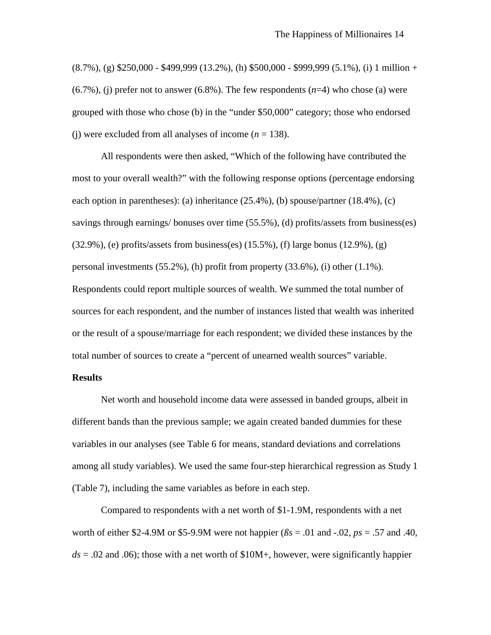$(8.7\%)$ , (g) \$250,000 - \$499,999 (13.2%), (h) \$500,000 - \$999,999 (5.1%), (i) 1 million +  $(6.7\%)$ , (j) prefer not to answer  $(6.8\%)$ . The few respondents  $(n=4)$  who chose (a) were grouped with those who chose (b) in the "under \$50,000" category; those who endorsed (i) were excluded from all analyses of income  $(n = 138)$ .

All respondents were then asked, "Which of the following have contributed the most to your overall wealth?" with the following response options (percentage endorsing each option in parentheses): (a) inheritance (25.4%), (b) spouse/partner (18.4%), (c) savings through earnings/ bonuses over time (55.5%), (d) profits/assets from business(es)  $(32.9\%)$ , (e) profits/assets from business(es)  $(15.5\%)$ , (f) large bonus  $(12.9\%)$ , (g) personal investments (55.2%), (h) profit from property (33.6%), (i) other (1.1%). Respondents could report multiple sources of wealth. We summed the total number of sources for each respondent, and the number of instances listed that wealth was inherited or the result of a spouse/marriage for each respondent; we divided these instances by the total number of sources to create a "percent of unearned wealth sources" variable.

#### **Results**

Net worth and household income data were assessed in banded groups, albeit in different bands than the previous sample; we again created banded dummies for these variables in our analyses (see Table 6 for means, standard deviations and correlations among all study variables). We used the same four-step hierarchical regression as Study 1 (Table 7), including the same variables as before in each step.

Compared to respondents with a net worth of \$1-1.9M, respondents with a net worth of either \$2-4.9M or \$5-9.9M were not happier ( $\beta s = .01$  and  $-.02$ ,  $ps = .57$  and .40,  $ds = 0.02$  and 0.06); those with a net worth of \$10M+, however, were significantly happier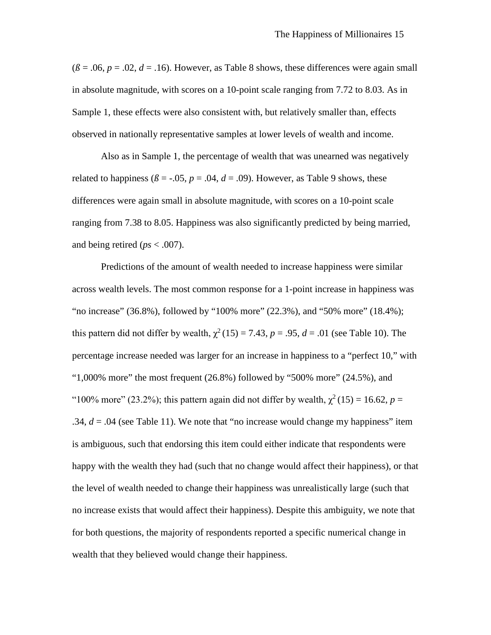$(\beta = .06, p = .02, d = .16)$ . However, as Table 8 shows, these differences were again small in absolute magnitude, with scores on a 10-point scale ranging from 7.72 to 8.03. As in Sample 1, these effects were also consistent with, but relatively smaller than, effects observed in nationally representative samples at lower levels of wealth and income.

Also as in Sample 1, the percentage of wealth that was unearned was negatively related to happiness ( $\beta$  = -.05,  $p$  = .04,  $d$  = .09). However, as Table 9 shows, these differences were again small in absolute magnitude, with scores on a 10-point scale ranging from 7.38 to 8.05. Happiness was also significantly predicted by being married, and being retired (*ps* < .007).

Predictions of the amount of wealth needed to increase happiness were similar across wealth levels. The most common response for a 1-point increase in happiness was "no increase" (36.8%), followed by "100% more" (22.3%), and "50% more" (18.4%); this pattern did not differ by wealth,  $\chi^2(15) = 7.43$ ,  $p = .95$ ,  $d = .01$  (see Table 10). The percentage increase needed was larger for an increase in happiness to a "perfect 10," with "1,000% more" the most frequent  $(26.8\%)$  followed by "500% more"  $(24.5\%)$ , and "100% more" (23.2%); this pattern again did not differ by wealth,  $\chi^2$  (15) = 16.62, *p* = .34,  $d = 0.04$  (see Table 11). We note that "no increase would change my happiness" item is ambiguous, such that endorsing this item could either indicate that respondents were happy with the wealth they had (such that no change would affect their happiness), or that the level of wealth needed to change their happiness was unrealistically large (such that no increase exists that would affect their happiness). Despite this ambiguity, we note that for both questions, the majority of respondents reported a specific numerical change in wealth that they believed would change their happiness.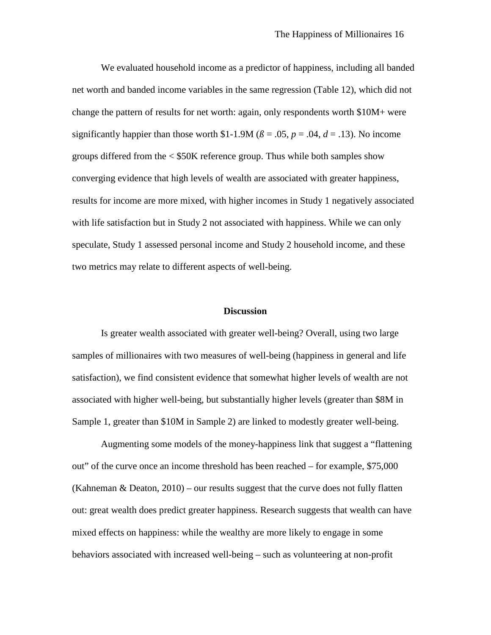We evaluated household income as a predictor of happiness, including all banded net worth and banded income variables in the same regression (Table 12), which did not change the pattern of results for net worth: again, only respondents worth \$10M+ were significantly happier than those worth \$1-1.9M ( $\beta$  = .05,  $p$  = .04,  $d$  = .13). No income groups differed from the < \$50K reference group. Thus while both samples show converging evidence that high levels of wealth are associated with greater happiness, results for income are more mixed, with higher incomes in Study 1 negatively associated with life satisfaction but in Study 2 not associated with happiness. While we can only speculate, Study 1 assessed personal income and Study 2 household income, and these two metrics may relate to different aspects of well-being.

#### **Discussion**

Is greater wealth associated with greater well-being? Overall, using two large samples of millionaires with two measures of well-being (happiness in general and life satisfaction), we find consistent evidence that somewhat higher levels of wealth are not associated with higher well-being, but substantially higher levels (greater than \$8M in Sample 1, greater than \$10M in Sample 2) are linked to modestly greater well-being.

Augmenting some models of the money-happiness link that suggest a "flattening out" of the curve once an income threshold has been reached – for example, \$75,000 (Kahneman  $\&$  Deaton, 2010) – our results suggest that the curve does not fully flatten out: great wealth does predict greater happiness. Research suggests that wealth can have mixed effects on happiness: while the wealthy are more likely to engage in some behaviors associated with increased well-being – such as volunteering at non-profit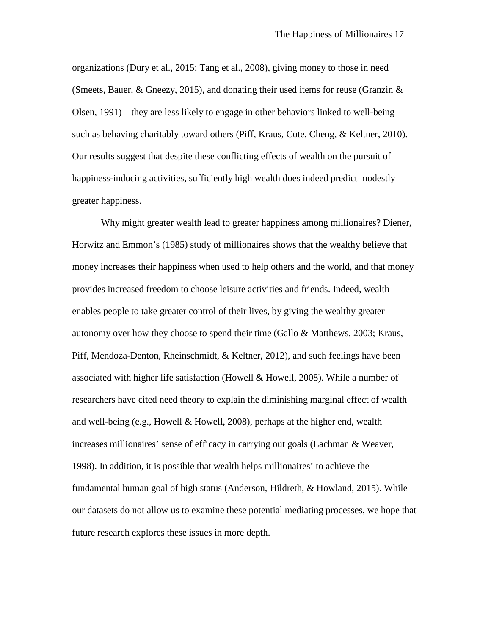organizations (Dury et al., 2015; Tang et al., 2008), giving money to those in need (Smeets, Bauer, & Gneezy, 2015), and donating their used items for reuse (Granzin & Olsen, 1991) – they are less likely to engage in other behaviors linked to well-being – such as behaving charitably toward others (Piff, Kraus, Cote, Cheng, & Keltner, 2010). Our results suggest that despite these conflicting effects of wealth on the pursuit of happiness-inducing activities, sufficiently high wealth does indeed predict modestly greater happiness.

Why might greater wealth lead to greater happiness among millionaires? Diener, Horwitz and Emmon's (1985) study of millionaires shows that the wealthy believe that money increases their happiness when used to help others and the world, and that money provides increased freedom to choose leisure activities and friends. Indeed, wealth enables people to take greater control of their lives, by giving the wealthy greater autonomy over how they choose to spend their time (Gallo & Matthews, 2003; Kraus, Piff, Mendoza-Denton, Rheinschmidt, & Keltner, 2012), and such feelings have been associated with higher life satisfaction (Howell & Howell, 2008). While a number of researchers have cited need theory to explain the diminishing marginal effect of wealth and well-being (e.g., Howell & Howell, 2008), perhaps at the higher end, wealth increases millionaires' sense of efficacy in carrying out goals (Lachman & Weaver, 1998). In addition, it is possible that wealth helps millionaires' to achieve the fundamental human goal of high status (Anderson, Hildreth, & Howland, 2015). While our datasets do not allow us to examine these potential mediating processes, we hope that future research explores these issues in more depth.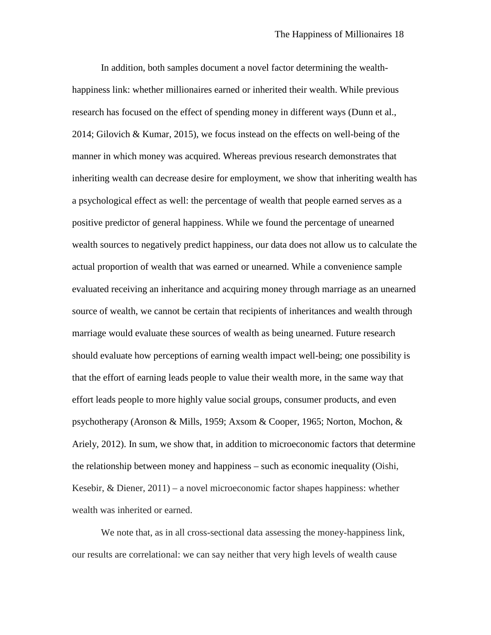In addition, both samples document a novel factor determining the wealthhappiness link: whether millionaires earned or inherited their wealth. While previous research has focused on the effect of spending money in different ways (Dunn et al., 2014; Gilovich & Kumar, 2015), we focus instead on the effects on well-being of the manner in which money was acquired. Whereas previous research demonstrates that inheriting wealth can decrease desire for employment, we show that inheriting wealth has a psychological effect as well: the percentage of wealth that people earned serves as a positive predictor of general happiness. While we found the percentage of unearned wealth sources to negatively predict happiness, our data does not allow us to calculate the actual proportion of wealth that was earned or unearned. While a convenience sample evaluated receiving an inheritance and acquiring money through marriage as an unearned source of wealth, we cannot be certain that recipients of inheritances and wealth through marriage would evaluate these sources of wealth as being unearned. Future research should evaluate how perceptions of earning wealth impact well-being; one possibility is that the effort of earning leads people to value their wealth more, in the same way that effort leads people to more highly value social groups, consumer products, and even psychotherapy (Aronson & Mills, 1959; Axsom & Cooper, 1965; Norton, Mochon, & Ariely, 2012). In sum, we show that, in addition to microeconomic factors that determine the relationship between money and happiness – such as economic inequality (Oishi, Kesebir, & Diener, 2011) – a novel microeconomic factor shapes happiness: whether wealth was inherited or earned.

We note that, as in all cross-sectional data assessing the money-happiness link, our results are correlational: we can say neither that very high levels of wealth cause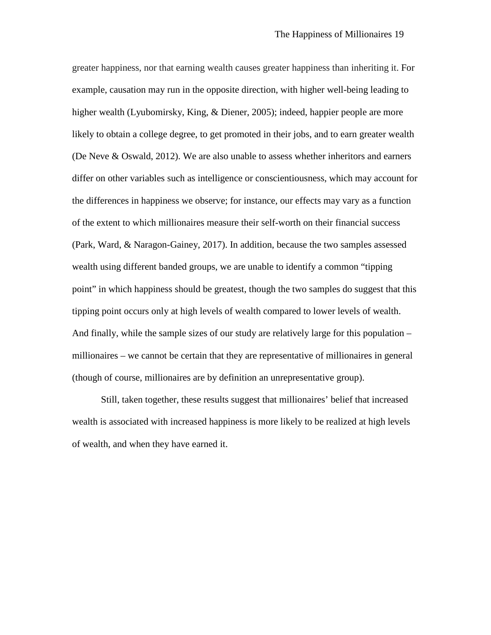greater happiness, nor that earning wealth causes greater happiness than inheriting it. For example, causation may run in the opposite direction, with higher well-being leading to higher wealth (Lyubomirsky, King, & Diener, 2005); indeed, happier people are more likely to obtain a college degree, to get promoted in their jobs, and to earn greater wealth (De Neve & Oswald, 2012). We are also unable to assess whether inheritors and earners differ on other variables such as intelligence or conscientiousness, which may account for the differences in happiness we observe; for instance, our effects may vary as a function of the extent to which millionaires measure their self-worth on their financial success (Park, Ward, & Naragon-Gainey, 2017). In addition, because the two samples assessed wealth using different banded groups, we are unable to identify a common "tipping point" in which happiness should be greatest, though the two samples do suggest that this tipping point occurs only at high levels of wealth compared to lower levels of wealth. And finally, while the sample sizes of our study are relatively large for this population – millionaires – we cannot be certain that they are representative of millionaires in general (though of course, millionaires are by definition an unrepresentative group).

Still, taken together, these results suggest that millionaires' belief that increased wealth is associated with increased happiness is more likely to be realized at high levels of wealth, and when they have earned it.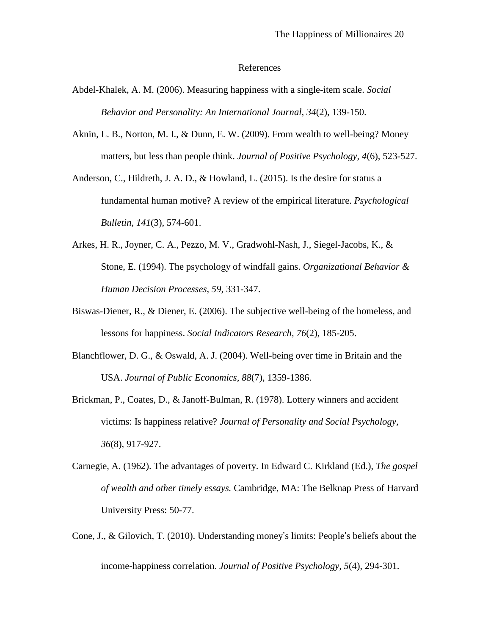#### References

- Abdel-Khalek, A. M. (2006). Measuring happiness with a single-item scale. *Social Behavior and Personality: An International Journal, 34*(2), 139-150.
- Aknin, L. B., Norton, M. I., & Dunn, E. W. (2009). From wealth to well-being? Money matters, but less than people think. *Journal of Positive Psychology, 4*(6), 523-527.
- Anderson, C., Hildreth, J. A. D., & Howland, L. (2015). Is the desire for status a fundamental human motive? A review of the empirical literature. *Psychological Bulletin, 141*(3), 574-601.
- Arkes, H. R., Joyner, C. A., Pezzo, M. V., Gradwohl-Nash, J., Siegel-Jacobs, K., & Stone, E. (1994). The psychology of windfall gains. *Organizational Behavior & Human Decision Processes*, *59*, 331-347.
- Biswas-Diener, R., & Diener, E. (2006). The subjective well-being of the homeless, and lessons for happiness. *Social Indicators Research, 76*(2), 185-205.
- Blanchflower, D. G., & Oswald, A. J. (2004). Well-being over time in Britain and the USA. *Journal of Public Economics, 88*(7), 1359-1386.
- Brickman, P., Coates, D., & Janoff-Bulman, R. (1978). Lottery winners and accident victims: Is happiness relative? *Journal of Personality and Social Psychology, 36*(8), 917-927.
- Carnegie, A. (1962). The advantages of poverty. In Edward C. Kirkland (Ed.), *The gospel of wealth and other timely essays.* Cambridge, MA: The Belknap Press of Harvard University Press: 50-77.
- Cone, J., & Gilovich, T. (2010). Understanding money's limits: People's beliefs about the income-happiness correlation. *Journal of Positive Psychology, 5*(4), 294-301.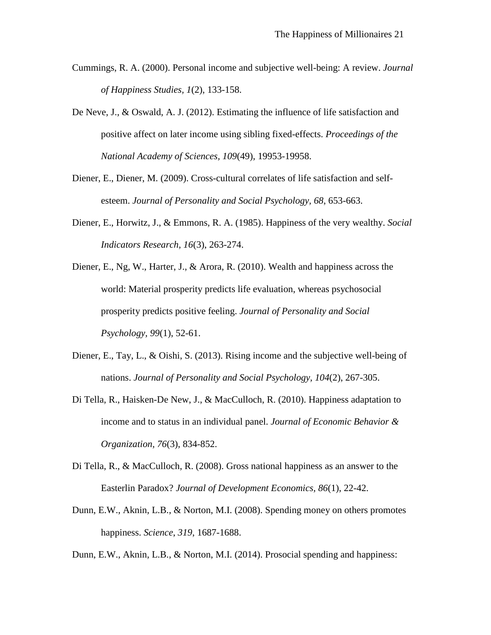- Cummings, R. A. (2000). Personal income and subjective well-being: A review. *Journal of Happiness Studies, 1*(2), 133-158.
- De Neve, J., & Oswald, A. J. (2012). Estimating the influence of life satisfaction and positive affect on later income using sibling fixed-effects. *Proceedings of the National Academy of Sciences, 109*(49), 19953-19958.
- Diener, E., Diener, M. (2009). Cross-cultural correlates of life satisfaction and selfesteem. *Journal of Personality and Social Psychology, 68*, 653-663.
- Diener, E., Horwitz, J., & Emmons, R. A. (1985). Happiness of the very wealthy. *Social Indicators Research, 16*(3), 263-274.
- Diener, E., Ng, W., Harter, J., & Arora, R. (2010). Wealth and happiness across the world: Material prosperity predicts life evaluation, whereas psychosocial prosperity predicts positive feeling. *Journal of Personality and Social Psychology, 99*(1), 52-61.
- Diener, E., Tay, L., & Oishi, S. (2013). Rising income and the subjective well-being of nations. *Journal of Personality and Social Psychology, 104*(2), 267-305.
- Di Tella, R., Haisken-De New, J., & MacCulloch, R. (2010). Happiness adaptation to income and to status in an individual panel. *Journal of Economic Behavior & Organization, 76*(3), 834-852.
- Di Tella, R., & MacCulloch, R. (2008). Gross national happiness as an answer to the Easterlin Paradox? *Journal of Development Economics, 86*(1), 22-42.
- Dunn, E.W., Aknin, L.B., & Norton, M.I. (2008). Spending money on others promotes happiness. *Science*, *319*, 1687-1688.
- Dunn, E.W., Aknin, L.B., & Norton, M.I. (2014). Prosocial spending and happiness: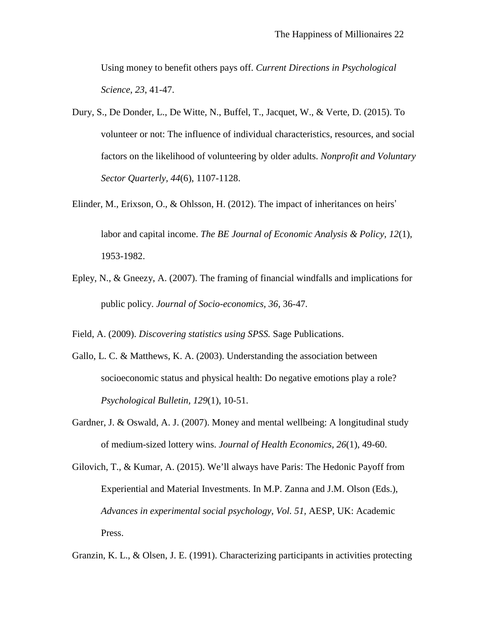Using money to benefit others pays off. *Current Directions in Psychological Science*, *23*, 41-47.

- Dury, S., De Donder, L., De Witte, N., Buffel, T., Jacquet, W., & Verte, D. (2015). To volunteer or not: The influence of individual characteristics, resources, and social factors on the likelihood of volunteering by older adults. *Nonprofit and Voluntary Sector Quarterly, 44*(6), 1107-1128.
- Elinder, M., Erixson, O., & Ohlsson, H. (2012). The impact of inheritances on heirs' labor and capital income. *The BE Journal of Economic Analysis & Policy, 12*(1), 1953-1982.
- Epley, N., & Gneezy, A. (2007). The framing of financial windfalls and implications for public policy. *Journal of Socio-economics, 36,* 36-47*.*

Field, A. (2009). *Discovering statistics using SPSS.* Sage Publications.

- Gallo, L. C. & Matthews, K. A. (2003). Understanding the association between socioeconomic status and physical health: Do negative emotions play a role? *Psychological Bulletin, 129*(1), 10-51.
- Gardner, J. & Oswald, A. J. (2007). Money and mental wellbeing: A longitudinal study of medium-sized lottery wins. *Journal of Health Economics, 26*(1), 49-60.
- Gilovich, T., & Kumar, A. (2015). We'll always have Paris: The Hedonic Payoff from Experiential and Material Investments. In M.P. Zanna and J.M. Olson (Eds.), *Advances in experimental social psychology, Vol. 51,* AESP, UK: Academic Press.

Granzin, K. L., & Olsen, J. E. (1991). Characterizing participants in activities protecting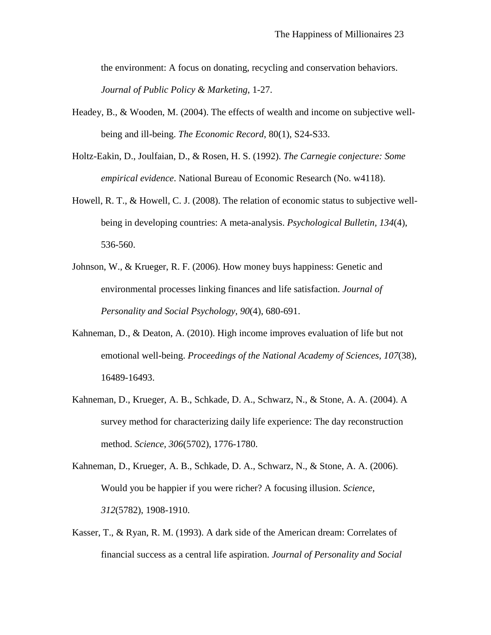the environment: A focus on donating, recycling and conservation behaviors. *Journal of Public Policy & Marketing*, 1-27.

- Headey, B., & Wooden, M. (2004). The effects of wealth and income on subjective wellbeing and ill-being. *The Economic Record*, 80(1), S24-S33.
- Holtz-Eakin, D., Joulfaian, D., & Rosen, H. S. (1992). *The Carnegie conjecture: Some empirical evidence*. National Bureau of Economic Research (No. w4118).
- Howell, R. T., & Howell, C. J. (2008). The relation of economic status to subjective wellbeing in developing countries: A meta-analysis. *Psychological Bulletin, 134*(4), 536-560.
- Johnson, W., & Krueger, R. F. (2006). How money buys happiness: Genetic and environmental processes linking finances and life satisfaction. *Journal of Personality and Social Psychology, 90*(4), 680-691.
- Kahneman, D., & Deaton, A. (2010). High income improves evaluation of life but not emotional well-being. *Proceedings of the National Academy of Sciences, 107*(38), 16489-16493.
- Kahneman, D., Krueger, A. B., Schkade, D. A., Schwarz, N., & Stone, A. A. (2004). A survey method for characterizing daily life experience: The day reconstruction method. *Science, 306*(5702), 1776-1780.

Kahneman, D., Krueger, A. B., Schkade, D. A., Schwarz, N., & Stone, A. A. (2006). Would you be happier if you were richer? A focusing illusion. *Science, 312*(5782), 1908-1910.

Kasser, T., & Ryan, R. M. (1993). A dark side of the American dream: Correlates of financial success as a central life aspiration. *Journal of Personality and Social*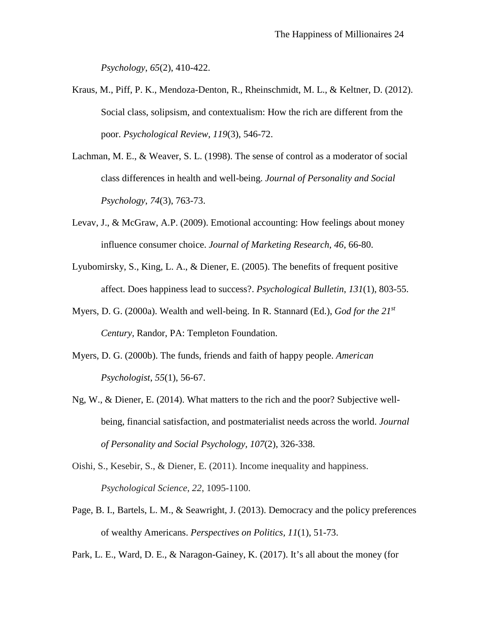*Psychology*, *65*(2), 410-422.

- Kraus, M., Piff, P. K., Mendoza-Denton, R., Rheinschmidt, M. L., & Keltner, D. (2012). Social class, solipsism, and contextualism: How the rich are different from the poor. *Psychological Review*, *119*(3), 546-72.
- Lachman, M. E., & Weaver, S. L. (1998). The sense of control as a moderator of social class differences in health and well-being. *Journal of Personality and Social Psychology*, *74*(3), 763-73.
- Levav, J., & McGraw, A.P. (2009). Emotional accounting: How feelings about money influence consumer choice. *Journal of Marketing Research*, *46*, 66-80.
- Lyubomirsky, S., King, L. A., & Diener, E. (2005). The benefits of frequent positive affect. Does happiness lead to success?. *Psychological Bulletin*, *131*(1), 803-55.
- Myers, D. G. (2000a). Wealth and well-being. In R. Stannard (Ed.), *God for the 21st Century,* Randor, PA: Templeton Foundation.
- Myers, D. G. (2000b). The funds, friends and faith of happy people. *American Psychologist*, *55*(1), 56-67.
- Ng, W., & Diener, E. (2014). What matters to the rich and the poor? Subjective wellbeing, financial satisfaction, and postmaterialist needs across the world. *Journal of Personality and Social Psychology, 107*(2), 326-338.
- Oishi, S., Kesebir, S., & Diener, E. (2011). Income inequality and happiness. *Psychological Science*, *22*, 1095-1100.
- Page, B. I., Bartels, L. M., & Seawright, J. (2013). Democracy and the policy preferences of wealthy Americans. *Perspectives on Politics, 11*(1), 51-73.
- Park, L. E., Ward, D. E., & Naragon-Gainey, K. (2017). It's all about the money (for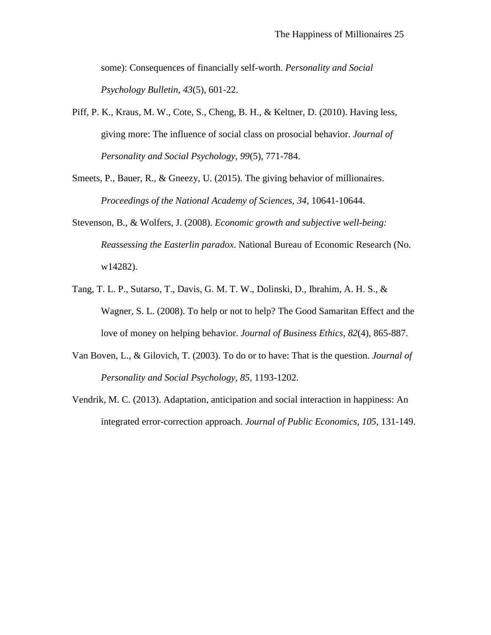some): Consequences of financially self-worth. *Personality and Social Psychology Bulletin, 43*(5), 601-22.

- Piff, P. K., Kraus, M. W., Cote, S., Cheng, B. H., & Keltner, D. (2010). Having less, giving more: The influence of social class on prosocial behavior. *Journal of Personality and Social Psychology*, *99*(5), 771-784.
- Smeets, P., Bauer, R., & Gneezy, U. (2015). The giving behavior of millionaires. *Proceedings of the National Academy of Sciences, 34*, 10641-10644.
- Stevenson, B., & Wolfers, J. (2008). *Economic growth and subjective well-being: Reassessing the Easterlin paradox*. National Bureau of Economic Research (No. w14282).
- Tang, T. L. P., Sutarso, T., Davis, G. M. T. W., Dolinski, D., Ibrahim, A. H. S., & Wagner, S. L. (2008). To help or not to help? The Good Samaritan Effect and the love of money on helping behavior. *Journal of Business Ethics*, *82*(4), 865-887.
- Van Boven, L., & Gilovich, T. (2003). To do or to have: That is the question. *Journal of Personality and Social Psychology, 85,* 1193-1202.
- Vendrik, M. C. (2013). Adaptation, anticipation and social interaction in happiness: An integrated error-correction approach. *Journal of Public Economics*, *105*, 131-149.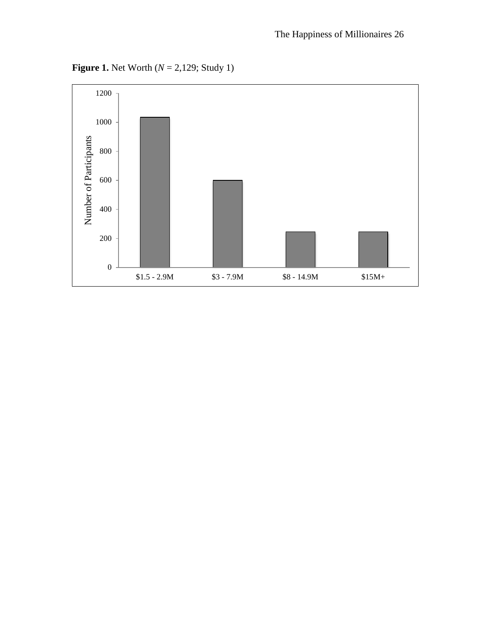**Figure 1.** Net Worth (*N* = 2,129; Study 1)

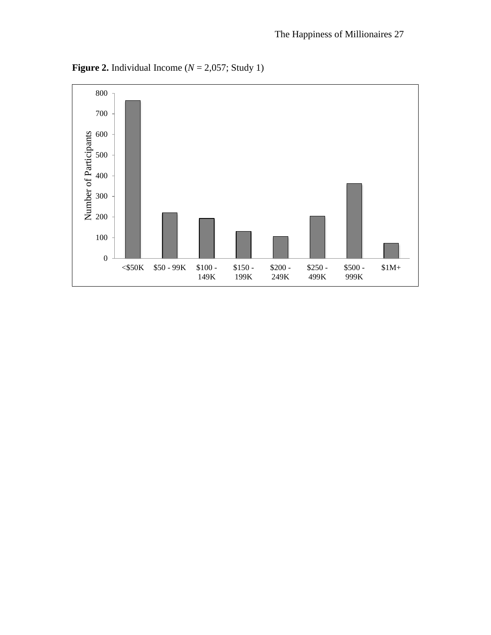

**Figure 2.** Individual Income ( $N = 2,057$ ; Study 1)

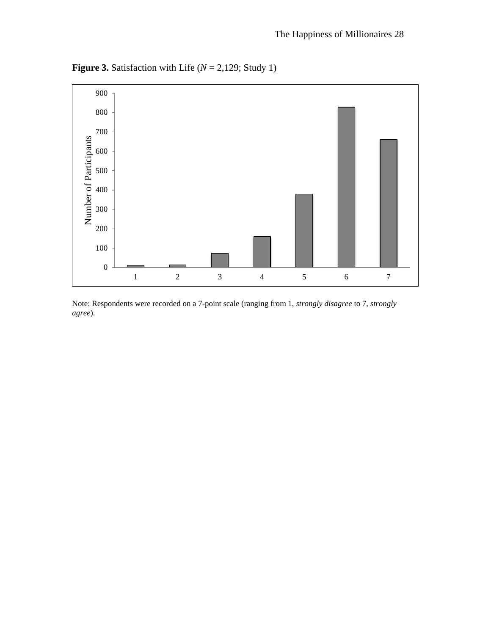**Figure 3.** Satisfaction with Life  $(N = 2,129;$  Study 1)



Note: Respondents were recorded on a 7-point scale (ranging from 1, *strongly disagree* to 7, *strongly agree*).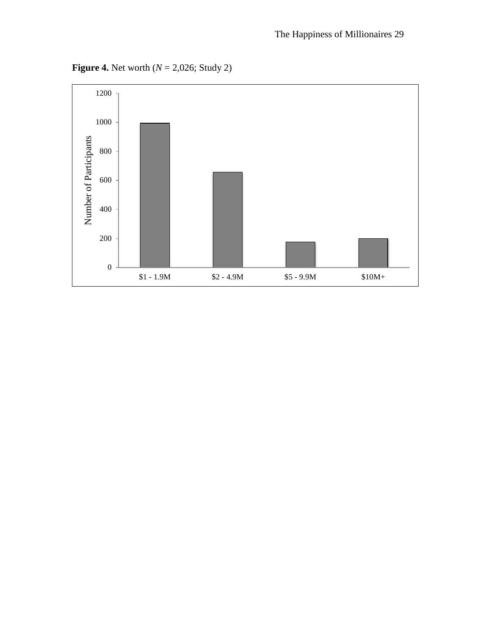**Figure 4.** Net worth (*N* = 2,026; Study 2)

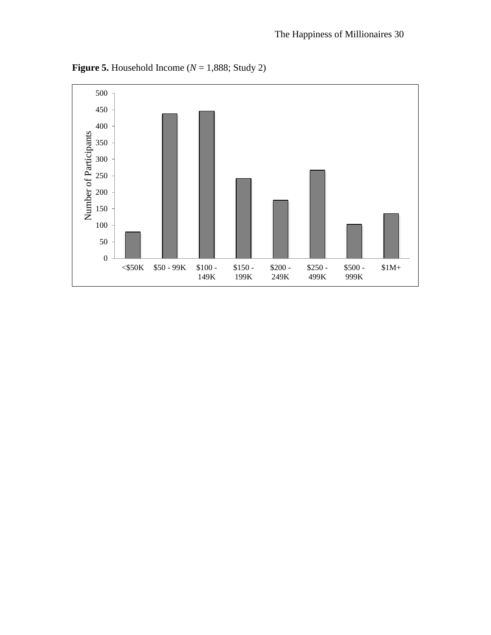

**Figure 5.** Household Income ( $N = 1,888$ ; Study 2)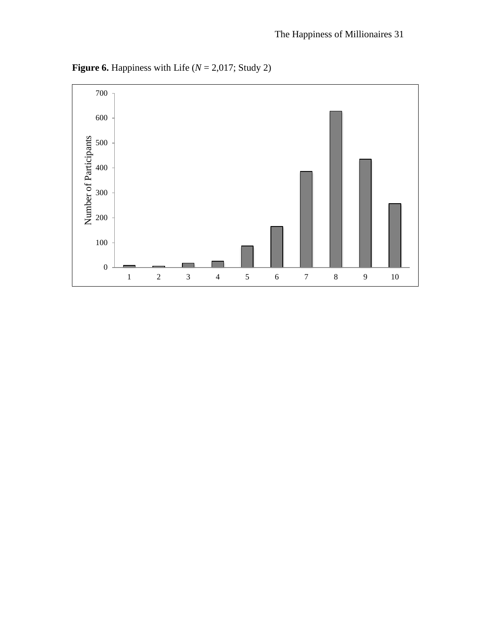

**Figure 6.** Happiness with Life  $(N = 2,017;$  Study 2)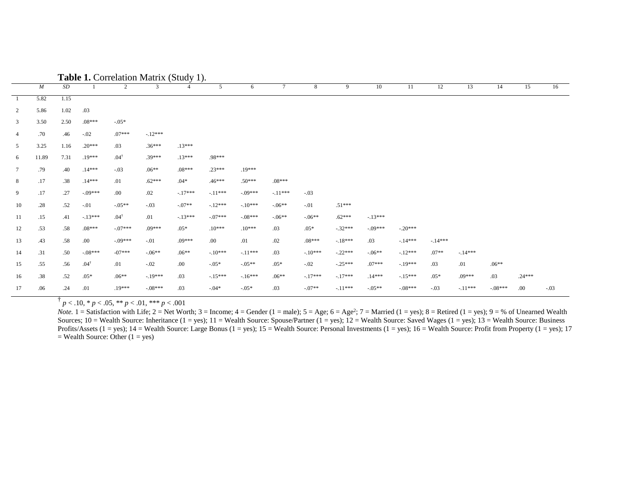|                 |                  |      |                 | <b>rabic 1.</b> Conclusion matrix (bludy 1). |           |                |           |           |           |           |           |           |           |          |           |           |          |        |
|-----------------|------------------|------|-----------------|----------------------------------------------|-----------|----------------|-----------|-----------|-----------|-----------|-----------|-----------|-----------|----------|-----------|-----------|----------|--------|
|                 | $\boldsymbol{M}$ | SD   |                 | $\overline{2}$                               | 3         | $\overline{4}$ | 5         | 6         | $\tau$    | 8         | 9         | 10        | 11        | 12       | 13        | 14        | 15       | 16     |
| -1              | 5.82             | 1.15 |                 |                                              |           |                |           |           |           |           |           |           |           |          |           |           |          |        |
| $\overline{2}$  | 5.86             | 1.02 | .03             |                                              |           |                |           |           |           |           |           |           |           |          |           |           |          |        |
| 3               | 3.50             | 2.50 | $.08***$        | $-.05*$                                      |           |                |           |           |           |           |           |           |           |          |           |           |          |        |
| $\overline{4}$  | .70              | .46  | $-.02$          | $.07***$                                     | $-.12***$ |                |           |           |           |           |           |           |           |          |           |           |          |        |
| 5               | 3.25             | 1.16 | $.20***$        | .03                                          | $.36***$  | $.13***$       |           |           |           |           |           |           |           |          |           |           |          |        |
| 6               | 11.89            | 7.31 | $.19***$        | $.04^{\dagger}$                              | $.39***$  | $.13***$       | .98***    |           |           |           |           |           |           |          |           |           |          |        |
| $7\phantom{.0}$ | .79              | .40  | $.14***$        | $-.03$                                       | $.06**$   | $.08***$       | $.23***$  | .19***    |           |           |           |           |           |          |           |           |          |        |
| 8               | .17              | .38  | $.14***$        | .01                                          | $.62***$  | $.04*$         | $.46***$  | $.50***$  | $.08***$  |           |           |           |           |          |           |           |          |        |
| 9               | .17              | .27  | $-.09***$       | .00.                                         | .02       | $-.17***$      | $-11***$  | $-.09***$ | $-.11***$ | $-.03$    |           |           |           |          |           |           |          |        |
| 10              | .28              | .52  | $-.01$          | $-05**$                                      | $-.03$    | $-.07**$       | $-.12***$ | $-.10***$ | $-06**$   | $-.01$    | $.51***$  |           |           |          |           |           |          |        |
| 11              | .15              | .41  | $-.13***$       | $.04^{\dagger}$                              | .01       | $-.13***$      | $-.07***$ | $-.08***$ | $-06**$   | $-06**$   | $.62***$  | $-.13***$ |           |          |           |           |          |        |
| 12              | .53              | .58  | $.08***$        | $-07***$                                     | $.09***$  | $.05*$         | $.10***$  | $.10***$  | .03       | $.05*$    | $-.32***$ | $-.09***$ | $-20***$  |          |           |           |          |        |
| 13              | .43              | .58  | .00.            | $-09***$                                     | $-.01$    | $.09***$       | .00.      | .01       | .02       | $.08***$  | $-.18***$ | .03       | $-14***$  | $-14***$ |           |           |          |        |
| 14              | .31              | .50  | $-.08***$       | $-07***$                                     | $-.06**$  | $.06***$       | $-.10***$ | $-.11***$ | .03       | $-10***$  | $-.22***$ | $-.06**$  | $-12***$  | $.07**$  | $-14***$  |           |          |        |
| 15              | .55              | .56  | $.04^{\dagger}$ | .01                                          | $-.02$    | .00.           | $-0.05*$  | $-05**$   | $.05*$    | $-.02$    | $-.25***$ | $.07***$  | $-19***$  | .03      | .01       | $.06**$   |          |        |
| 16              | .38              | .52  | $.05*$          | $.06**$                                      | $-.19***$ | .03            | $-.15***$ | $-16***$  | $.06**$   | $-.17***$ | $-.17***$ | $.14***$  | $-15***$  | $.05*$   | $.09***$  | .03       | $.24***$ |        |
| 17              | .06              | .24  | .01             | .19***                                       | $-.08***$ | .03            | $-04*$    | $-.05*$   | .03       | $-.07**$  | $-.11***$ | $-.05**$  | $-.08***$ | $-.03$   | $-.11***$ | $-.08***$ | .00      | $-.03$ |

**Table 1.** Correlation Matrix (Study 1).

 $\uparrow p < .10, * p < .05, ** p < .01, *** p < .001$ 

*Note.*  $1 =$  Satisfaction with Life;  $2 =$  Net Worth;  $3 =$  Income;  $4 =$  Gender ( $1 =$  male);  $5 =$  Age;  $6 =$  Age<sup>2</sup>;  $7 =$  Married ( $1 =$  yes);  $8 =$  Retired ( $1 =$  yes);  $9 =$  % of Unearned Wealth Sources;  $10 =$  Wealth Source: Inheritance (1 = yes);  $11 =$  Wealth Source: Spouse/Partner (1 = yes);  $12 =$  Wealth Source: Saved Wages (1 = yes);  $13 =$  Wealth Source: Business Profits/Assets (1 = yes); 14 = Wealth Source: Large Bonus (1 = yes); 15 = Wealth Source: Personal Investments (1 = yes); 16 = Wealth Source: Profit from Property (1 = yes); 17  $=$  Wealth Source: Other (1 = yes)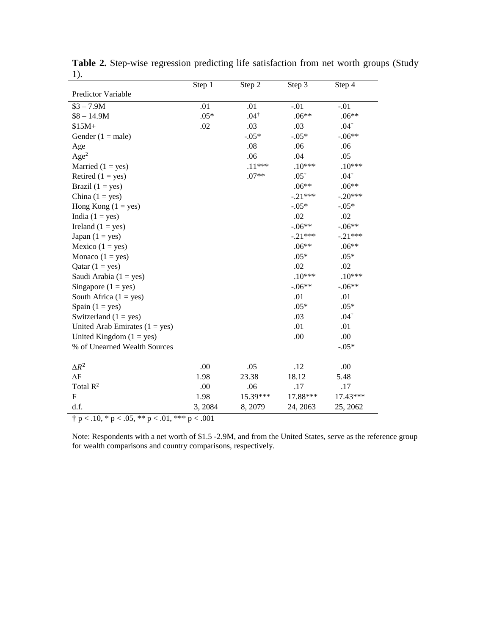|                                  | Step 1  | Step 2          | Step 3          | Step 4          |
|----------------------------------|---------|-----------------|-----------------|-----------------|
| Predictor Variable               |         |                 |                 |                 |
| $$3 - 7.9M$                      | .01     | .01             | $-.01$          | $-.01$          |
| $$8 - 14.9M$                     | $.05*$  | $.04^{\dagger}$ | $.06**$         | $.06**$         |
| $$15M+$                          | .02     | .03             | .03             | $.04^{\dagger}$ |
| Gender $(1 = male)$              |         | $-.05*$         | $-0.05*$        | $-.06**$        |
| Age                              |         | .08             | .06             | .06             |
| Age <sup>2</sup>                 |         | .06             | .04             | .05             |
| Married $(1 = yes)$              |         | $.11***$        | $.10***$        | $.10***$        |
| Retired $(1 = yes)$              |         | $.07**$         | $.05^{\dagger}$ | $.04^{\dagger}$ |
| Brazil $(1 = yes)$               |         |                 | $.06**$         | $.06**$         |
| China $(1 = yes)$                |         |                 | $-.21***$       | $-.20***$       |
| Hong Kong $(1 = yes)$            |         |                 | $-.05*$         | $-.05*$         |
| India $(1 = yes)$                |         |                 | .02             | .02             |
| Ireland $(1 = yes)$              |         |                 | $-.06**$        | $-.06**$        |
| Japan $(1 = yes)$                |         |                 | $-.21***$       | $-.21***$       |
| Mexico $(1 = yes)$               |         |                 | $.06**$         | $.06**$         |
| Monaco $(1 = yes)$               |         |                 | $.05*$          | $.05*$          |
| Qatar $(1 = yes)$                |         |                 | .02             | .02             |
| Saudi Arabia $(1 = yes)$         |         |                 | $.10***$        | $.10***$        |
| Singapore $(1 = yes)$            |         |                 | $-.06**$        | $-.06**$        |
| South Africa $(1 = yes)$         |         |                 | .01             | .01             |
| Spain $(1 = yes)$                |         |                 | $.05*$          | $.05*$          |
| Switzerland $(1 = yes)$          |         |                 | .03             | $.04^{\dagger}$ |
| United Arab Emirates $(1 = yes)$ |         |                 | .01             | .01             |
| United Kingdom $(1 = yes)$       |         |                 | .00.            | .00             |
| % of Unearned Wealth Sources     |         |                 |                 | $-.05*$         |
| $\Delta R^2$                     | .00     | .05             | .12             | .00             |
| $\Delta F$                       | 1.98    | 23.38           | 18.12           | 5.48            |
| Total $\mathbb{R}^2$             | .00     | .06             | .17             | .17             |
| $\mathbf{F}$                     | 1.98    | 15.39***        | 17.88***        | 17.43***        |
| d.f.                             | 3, 2084 | 8, 2079         | 24, 2063        | 25, 2062        |

**Table 2.** Step-wise regression predicting life satisfaction from net worth groups (Study 1).  $\overline{\phantom{0}}$ 

 $\frac{1}{\pi} p < .10, \frac{1}{\pi} p < .05, \frac{1}{\pi} p < .01, \frac{1}{\pi} p < .001$ 

Note: Respondents with a net worth of \$1.5 -2.9M, and from the United States, serve as the reference group for wealth comparisons and country comparisons, respectively.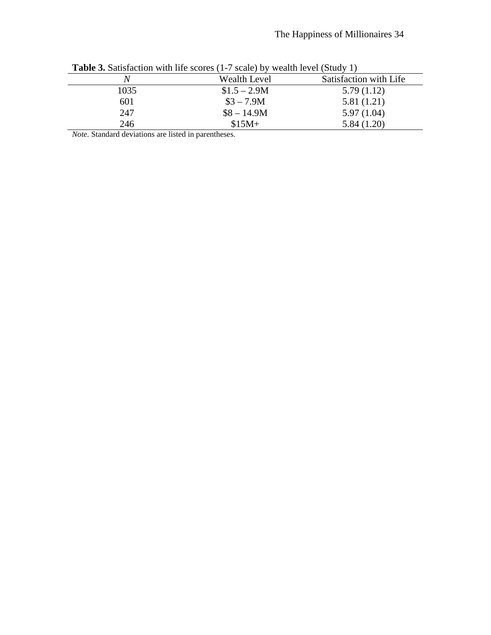|      | $-$ , and $-$ , $-$ , $-$ , $-$ , $-$ , $-$ , $-$ , $-$ , $-$ , $-$ , $-$ , $-$ , $-$ , $-$ , $-$ , $-$ , $-$ , $-$ , $-$ , $-$ , $-$ , $-$ , $-$ , $-$ , $-$ , $-$ , $-$ , $-$ , $-$ , $-$ , $-$ , $-$ , $-$ , $-$ , $-$ ,<br>$\cdots$ $\cdots$ $\cdots$ $\cdots$ $\cdots$ $\cdots$ $\cdots$ $\cdots$ |                        |  |  |  |  |  |  |  |  |
|------|--------------------------------------------------------------------------------------------------------------------------------------------------------------------------------------------------------------------------------------------------------------------------------------------------------|------------------------|--|--|--|--|--|--|--|--|
| N    | Wealth Level                                                                                                                                                                                                                                                                                           | Satisfaction with Life |  |  |  |  |  |  |  |  |
| 1035 | $$1.5 - 2.9M$                                                                                                                                                                                                                                                                                          | 5.79(1.12)             |  |  |  |  |  |  |  |  |
| 601  | $$3 - 7.9M$                                                                                                                                                                                                                                                                                            | 5.81(1.21)             |  |  |  |  |  |  |  |  |
| 247  | $$8 - 14.9M$                                                                                                                                                                                                                                                                                           | 5.97(1.04)             |  |  |  |  |  |  |  |  |
| 246  | $$15M+$                                                                                                                                                                                                                                                                                                | 5.84(1.20)             |  |  |  |  |  |  |  |  |

**Table 3.** Satisfaction with life scores (1-7 scale) by wealth level (Study 1)

*Note.* Standard deviations are listed in parentheses.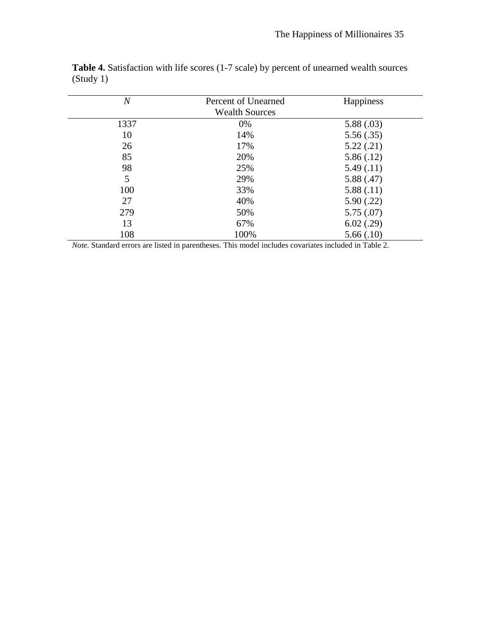| $\overline{N}$ | Percent of Unearned<br><b>Wealth Sources</b> | Happiness  |
|----------------|----------------------------------------------|------------|
| 1337           | 0%                                           | 5.88(.03)  |
| 10             | 14%                                          | 5.56(.35)  |
| 26             | 17%                                          | 5.22(.21)  |
| 85             | 20%                                          | 5.86(.12)  |
| 98             | 25%                                          | 5.49(0.11) |
| 5              | 29%                                          | 5.88(.47)  |
| 100            | 33%                                          | 5.88(.11)  |
| 27             | 40%                                          | 5.90(.22)  |
| 279            | 50%                                          | 5.75(.07)  |
| 13             | 67%                                          | 6.02(.29)  |
| 108            | 100%                                         | 5.66(.10)  |

**Table 4.** Satisfaction with life scores (1-7 scale) by percent of unearned wealth sources (Study 1)

*Note.* Standard errors are listed in parentheses. This model includes covariates included in Table 2.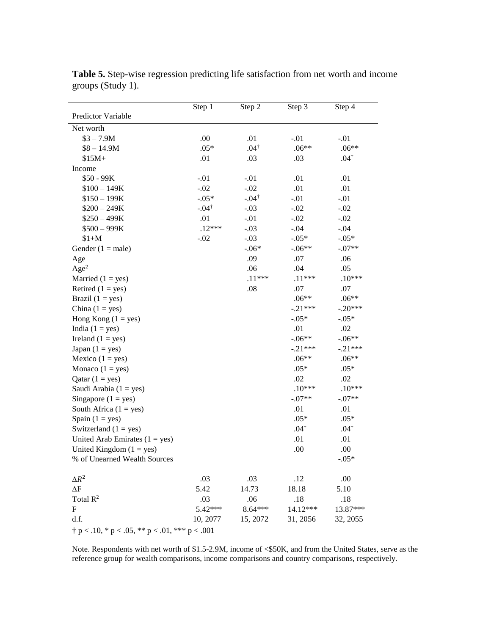|                                                        | Step 1           | Step 2           | Step 3          | Step 4          |
|--------------------------------------------------------|------------------|------------------|-----------------|-----------------|
| Predictor Variable                                     |                  |                  |                 |                 |
| Net worth                                              |                  |                  |                 |                 |
| $$3 - 7.9M$$                                           | .00              | .01              | $-.01$          | $-.01$          |
| $$8 - 14.9M$                                           | $.05*$           | $.04^{\dagger}$  | $.06**$         | $.06**$         |
| $$15M+$                                                | .01              | .03              | .03             | $.04^{\dagger}$ |
| Income                                                 |                  |                  |                 |                 |
| \$50 - 99K                                             | $-.01$           | $-.01$           | .01             | .01             |
| $$100 - 149K$                                          | $-.02$           | $-.02$           | .01             | .01             |
| $$150 - 199K$                                          | $-.05*$          | $-.04^{\dagger}$ | $-.01$          | $-.01$          |
| $$200 - 249K$                                          | $-.04^{\dagger}$ | $-.03$           | $-.02$          | $-.02$          |
| $$250 - 499K$                                          | .01              | $-.01$           | $-.02$          | $-.02$          |
| $$500 - 999K$                                          | $.12***$         | $-.03$           | $-.04$          | $-.04$          |
| $$1+M$                                                 | $-.02$           | $-.03$           | $-.05*$         | $-.05*$         |
| Gender $(1 = male)$                                    |                  | $-.06*$          | $-.06**$        | $-.07**$        |
| Age                                                    |                  | .09              | .07             | .06             |
| Age <sup>2</sup>                                       |                  | .06              | .04             | .05             |
| Married $(1 = yes)$                                    |                  | $.11***$         | $.11***$        | $.10***$        |
| Retired $(1 = yes)$                                    |                  | .08              | .07             | .07             |
| Brazil $(1 = yes)$                                     |                  |                  | $.06**$         | $.06**$         |
| China $(1 = yes)$                                      |                  |                  | $-.21***$       | $-.20***$       |
| Hong Kong $(1 = yes)$                                  |                  |                  | $-.05*$         | $-.05*$         |
| India $(1 = yes)$                                      |                  |                  | .01             | .02             |
| Ireland $(1 = yes)$                                    |                  |                  | $-.06**$        | $-.06**$        |
| Japan $(1 = yes)$                                      |                  |                  | $-.21***$       | $-.21***$       |
| Mexico $(1 = yes)$                                     |                  |                  | $.06**$         | $.06**$         |
| Monaco $(1 = yes)$                                     |                  |                  | $.05*$          | $.05*$          |
| Qatar $(1 = yes)$                                      |                  |                  | .02             | .02             |
| Saudi Arabia $(1 = yes)$                               |                  |                  | $.10***$        | $.10***$        |
| Singapore $(1 = yes)$                                  |                  |                  | $-.07**$        | $-.07**$        |
| South Africa $(1 = yes)$                               |                  |                  | .01             | .01             |
| Spain $(1 = yes)$                                      |                  |                  | $.05*$          | $.05*$          |
| Switzerland $(1 = yes)$                                |                  |                  | $.04^{\dagger}$ | $.04^{\dagger}$ |
| United Arab Emirates $(1 = yes)$                       |                  |                  | .01             | .01             |
| United Kingdom $(1 = yes)$                             |                  |                  | .00             | .00             |
| % of Unearned Wealth Sources                           |                  |                  |                 | $-.05*$         |
| $\Delta R^2$                                           | .03              | .03              | .12             | .00             |
| $\Delta F$                                             | 5.42             | 14.73            | 18.18           | 5.10            |
| Total $\mathbb{R}^2$                                   | .03              | .06              | .18             | .18             |
| $\mathbf F$                                            | 5.42***          | 8.64***          | 14.12***        | 13.87***        |
| d.f.                                                   | 10, 2077         | 15, 2072         | 31, 2056        | 32, 2055        |
| $\dagger$ p < .10, * p < .05, ** p < .01, *** p < .001 |                  |                  |                 |                 |

**Table 5.** Step-wise regression predicting life satisfaction from net worth and income groups (Study 1).

Note. Respondents with net worth of \$1.5-2.9M, income of <\$50K, and from the United States, serve as the reference group for wealth comparisons, income comparisons and country comparisons, respectively.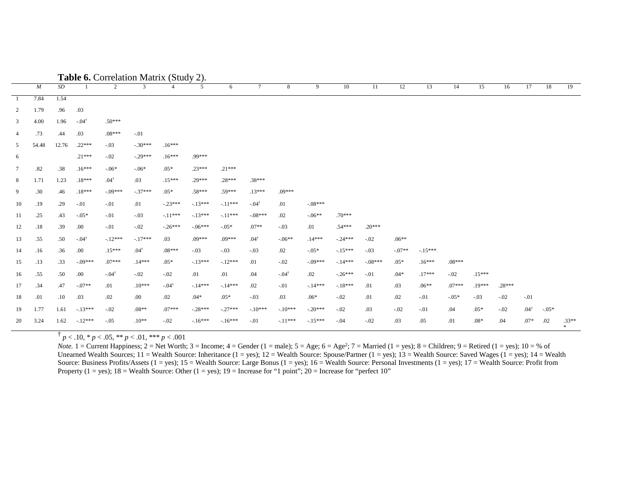|                 |       |           |                  |                     | <b>rapic v.</b> Correlation ividing (bludy |                     | $\omega$ ). |           |                     |                     |           |           |           |          |           |          |          |          |                 |          |                |
|-----------------|-------|-----------|------------------|---------------------|--------------------------------------------|---------------------|-------------|-----------|---------------------|---------------------|-----------|-----------|-----------|----------|-----------|----------|----------|----------|-----------------|----------|----------------|
|                 | M     | $\cal SD$ |                  | 2                   | 3                                          |                     | 5           | 6         | $\tau$              | 8                   | 9         | 10        | 11        | 12       | 13        | 14       | 15       | 16       | 17              | 18       | 19             |
| -1              | 7.84  | 1.54      |                  |                     |                                            |                     |             |           |                     |                     |           |           |           |          |           |          |          |          |                 |          |                |
| 2               | 1.79  | .96       | .03              |                     |                                            |                     |             |           |                     |                     |           |           |           |          |           |          |          |          |                 |          |                |
| $\mathbf{3}$    | 4.00  | 1.96      | $-.04^{\dagger}$ | $.50***$            |                                            |                     |             |           |                     |                     |           |           |           |          |           |          |          |          |                 |          |                |
| $\overline{4}$  | .73   | .44       | .03              | $.08***$            | $-.01$                                     |                     |             |           |                     |                     |           |           |           |          |           |          |          |          |                 |          |                |
| 5               | 54.48 | 12.76     | $.22***$         | $-.03$              | $-.30***$                                  | $.16***$            |             |           |                     |                     |           |           |           |          |           |          |          |          |                 |          |                |
| 6               |       |           | $.21***$         | $-.02$              | $-.29***$                                  | $.16***$            | .99***      |           |                     |                     |           |           |           |          |           |          |          |          |                 |          |                |
| $7\phantom{.0}$ | .82   | .38       | $.16***$         | $-06*$              | $-.06*$                                    | $.05*$              | $.23***$    | $.21***$  |                     |                     |           |           |           |          |           |          |          |          |                 |          |                |
| 8               | 1.71  | 1.23      | $.18***$         | $.04^{\dagger}$     | .03                                        | $.15***$            | $.29***$    | $.28***$  | $.38***$            |                     |           |           |           |          |           |          |          |          |                 |          |                |
| 9               | .30   | .46       | $.18***$         | $-.09***$           | $-.37***$                                  | $.05*$              | $.58***$    | .59***    | $.13***$            | $.09***$            |           |           |           |          |           |          |          |          |                 |          |                |
| 10              | .19   | .29       | $-.01$           | $-.01$              | .01                                        | $-.23***$           | $-.13***$   | $-.11***$ | $-.04$ <sup>†</sup> | .01                 | $-.08***$ |           |           |          |           |          |          |          |                 |          |                |
| 11              | .25   | .43       | $-.05*$          | $-.01$              | $-.03$                                     | $-11***$            | $-.13***$   | $-.11***$ | $-.08***$           | .02                 | $-06**$   | $.70***$  |           |          |           |          |          |          |                 |          |                |
| 12              | .18   | .39       | .00              | $-.01$              | $-.02$                                     | $-.26***$           | $-.06***$   | $-.05*$   | $.07**$             | $-.03$              | .01       | $.54***$  | $.20***$  |          |           |          |          |          |                 |          |                |
| 13              | .55   | .50       | $-.04^{\dagger}$ | $-.12***$           | $-.17***$                                  | .03                 | .09***      | $.09***$  | $.04^{\dagger}$     | $-.06**$            | $.14***$  | $-.24***$ | $-.02$    | $.06**$  |           |          |          |          |                 |          |                |
| 14              | .16   | .36       | .00.             | $.15***$            | $.04^{\dagger}$                            | $.08***$            | $-.03$      | $-.03$    | $-.03$              | .02                 | $-.05*$   | $-.15***$ | $-.03$    | $-.07**$ | $-.15***$ |          |          |          |                 |          |                |
| 15              | .13   | .33       | $-09***$         | $.07***$            | $.14***$                                   | $.05*$              | $-.13***$   | $-.12***$ | .01                 | $-.02$              | $-.09***$ | $-14***$  | $-.08***$ | $.05*$   | $.16***$  | $.08***$ |          |          |                 |          |                |
| 16              | .55   | .50       | .00.             | $-.04$ <sup>†</sup> | $-.02$                                     | $-.02$              | .01         | .01       | .04                 | $-.04$ <sup>†</sup> | .02       | $-26***$  | $-.01$    | $.04*$   | $.17***$  | $-.02$   | $.15***$ |          |                 |          |                |
| 17              | .34   | .47       | $-.07**$         | .01                 | $.10***$                                   | $-.04$ <sup>†</sup> | $-.14***$   | $-14***$  | .02                 | $-.01$              | $-14***$  | $-.18***$ | .01       | .03      | $.06**$   | $.07***$ | $.19***$ | $.28***$ |                 |          |                |
| 18              | .01   | .10       | .03              | .02                 | .00.                                       | .02                 | $.04*$      | $.05*$    | $-.03$              | .03                 | $.06*$    | $-.02$    | .01       | .02      | $-.01$    | $-.05*$  | $-.03$   | $-.02$   | $-.01$          |          |                |
| 19              | 1.77  | 1.61      | $-13***$         | $-.02$              | $.08**$                                    | $.07***$            | $-.28***$   | $-.27***$ | $-.10***$           | $-.10***$           | $-.20***$ | $-.02$    | .03       | $-.02$   | $-.01$    | .04      | $.05*$   | $-.02$   | $.04^{\dagger}$ | $-0.05*$ |                |
| 20              | 3.24  | 1.62      | $-.12***$        | $-.05$              | $.10**$                                    | $-.02$              | $-16***$    | $-16***$  | $-.01$              | $-.11***$           | $-15***$  | $-.04$    | $-.02$    | .03      | .05       | .01      | $.08*$   | .04      | $.07*$          | .02      | $.33**$<br>$*$ |

**Table 6.** Correlation Matrix (Study 2).

 $\binom{p}{p}$  < .10, \* *p* < .05, \*\* *p* < .01, \*\*\* *p* < .001

*Note.*  $1 =$  Current Happiness;  $2 =$  Net Worth;  $3 =$  Income;  $4 =$  Gender ( $1 =$  male);  $5 =$  Age;  $6 =$  Age<sup>2</sup>;  $7 =$  Married ( $1 =$  yes);  $8 =$  Children;  $9 =$  Retired ( $1 =$  yes);  $10 =$  % of Unearned Wealth Sources; = Wealth Source: Inheritance (1 = yes);  $12$  = Wealth Source: Spouse/Partner (1 = yes); 13 = Wealth Source: Saved Wages (1 = yes); 14 = Wealth Source: Business Profits/Assets (1 = yes); 15 = Wealth Source: Large Bonus (1 = yes); 16 = Wealth Source: Personal Investments (1 = yes); 17 = Wealth Source: Profit from Property (1 = yes);  $18 =$  Wealth Source: Other (1 = yes);  $19 =$  Increase for "1 point";  $20 =$  Increase for "perfect 10"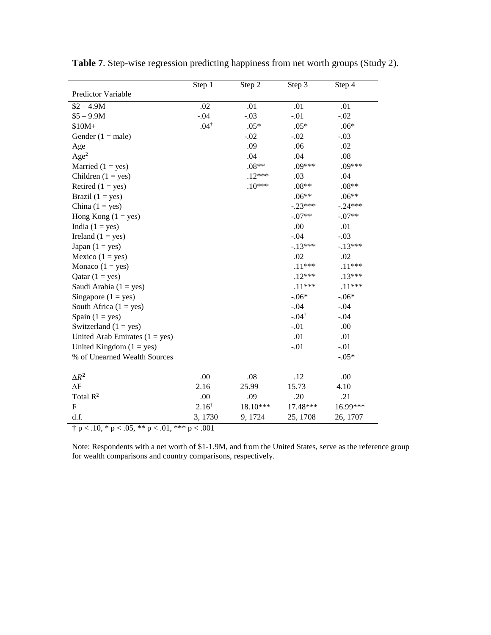|                                  | Step 1                                                                | Step 2   | Step 3           | Step 4    |  |  |  |  |  |  |
|----------------------------------|-----------------------------------------------------------------------|----------|------------------|-----------|--|--|--|--|--|--|
| Predictor Variable               |                                                                       |          |                  |           |  |  |  |  |  |  |
| $$2 - 4.9M$$                     | .02                                                                   | .01      | .01              | .01       |  |  |  |  |  |  |
| $$5 - 9.9M$$                     | $-.04$                                                                | $-.03$   | $-.01$           | $-.02$    |  |  |  |  |  |  |
| $$10M+$                          | $.04^{\dagger}$                                                       | $.05*$   | $.05*$           | $.06*$    |  |  |  |  |  |  |
| Gender $(1 = male)$              |                                                                       | $-.02$   | $-.02$           | $-.03$    |  |  |  |  |  |  |
| Age                              |                                                                       | .09      | .06              | .02       |  |  |  |  |  |  |
| Age <sup>2</sup>                 |                                                                       | .04      | .04              | .08       |  |  |  |  |  |  |
| Married $(1 = yes)$              |                                                                       | $.08**$  | $.09***$         | $.09***$  |  |  |  |  |  |  |
| Children $(1 = yes)$             |                                                                       | $.12***$ | .03              | .04       |  |  |  |  |  |  |
| Retired $(1 = yes)$              |                                                                       | $.10***$ | $.08**$          | $.08**$   |  |  |  |  |  |  |
| Brazil $(1 = yes)$               |                                                                       |          | $.06**$          | $.06**$   |  |  |  |  |  |  |
| China $(1 = yes)$                |                                                                       |          | $-.23***$        | $-.24***$ |  |  |  |  |  |  |
| Hong Kong $(1 = yes)$            |                                                                       |          | $-.07**$         | $-.07**$  |  |  |  |  |  |  |
| India $(1 = yes)$                |                                                                       |          | .00              | .01       |  |  |  |  |  |  |
| Ireland $(1 = yes)$              |                                                                       |          | $-.04$           | $-.03$    |  |  |  |  |  |  |
| Japan $(1 = yes)$                |                                                                       |          | $-.13***$        | $-.13***$ |  |  |  |  |  |  |
| Mexico $(1 = yes)$               |                                                                       |          | .02              | .02       |  |  |  |  |  |  |
| Monaco $(1 = yes)$               |                                                                       |          | $.11***$         | $.11***$  |  |  |  |  |  |  |
| Qatar $(1 = yes)$                |                                                                       |          | $.12***$         | $.13***$  |  |  |  |  |  |  |
| Saudi Arabia $(1 = yes)$         |                                                                       |          | $.11***$         | $.11***$  |  |  |  |  |  |  |
| Singapore $(1 = yes)$            |                                                                       |          | $-.06*$          | $-.06*$   |  |  |  |  |  |  |
| South Africa $(1 = yes)$         |                                                                       |          | $-.04$           | $-.04$    |  |  |  |  |  |  |
| Spain $(1 = yes)$                |                                                                       |          | $-.04^{\dagger}$ | $-.04$    |  |  |  |  |  |  |
| Switzerland $(1 = yes)$          |                                                                       |          | $-.01$           | .00       |  |  |  |  |  |  |
| United Arab Emirates $(1 = yes)$ |                                                                       |          | .01              | .01       |  |  |  |  |  |  |
| United Kingdom $(1 = yes)$       |                                                                       |          | $-.01$           | $-.01$    |  |  |  |  |  |  |
| % of Unearned Wealth Sources     |                                                                       |          |                  | $-.05*$   |  |  |  |  |  |  |
| $\Delta R^2$                     | .00                                                                   | .08      | .12              | .00       |  |  |  |  |  |  |
| $\Delta F$                       | 2.16                                                                  | 25.99    | 15.73            | 4.10      |  |  |  |  |  |  |
| Total $\mathbb{R}^2$             | .00                                                                   | .09      | .20              | .21       |  |  |  |  |  |  |
| $\mathbf{F}$                     | $2.16^{\dagger}$                                                      | 18.10*** | 17.48***         | 16.99***  |  |  |  |  |  |  |
| d.f.                             | 3,1730                                                                | 9, 1724  | 25, 1708         | 26, 1707  |  |  |  |  |  |  |
|                                  | $\dagger$ p < .10, $*\overline{p}$ < .05, $**$ p < .01, $**$ p < .001 |          |                  |           |  |  |  |  |  |  |

**Table 7**. Step-wise regression predicting happiness from net worth groups (Study 2).

Note: Respondents with a net worth of \$1-1.9M, and from the United States, serve as the reference group for wealth comparisons and country comparisons, respectively.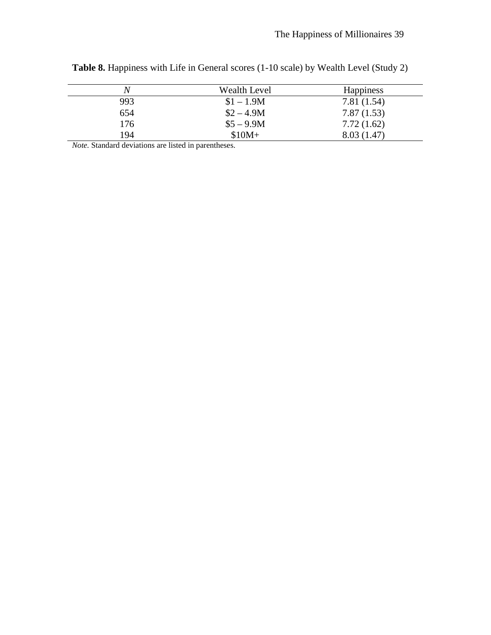| N   | <b>Wealth Level</b> | <b>Happiness</b> |
|-----|---------------------|------------------|
| 993 | $$1 - 1.9M$         | 7.81(1.54)       |
| 654 | $$2 - 4.9M$         | 7.87(1.53)       |
| 176 | $$5 - 9.9M$$        | 7.72(1.62)       |
| 194 | $$10M+$             | 8.03 (1.47)      |

**Table 8.** Happiness with Life in General scores (1-10 scale) by Wealth Level (Study 2)

*Note.* Standard deviations are listed in parentheses.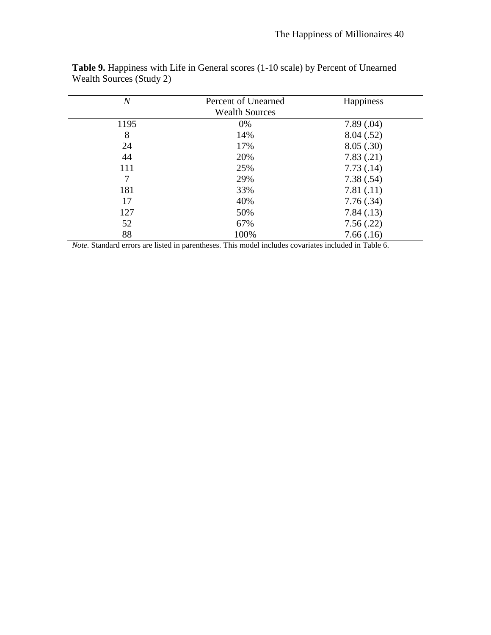| $\overline{N}$ | Percent of Unearned<br><b>Wealth Sources</b> | Happiness |
|----------------|----------------------------------------------|-----------|
| 1195           | 0%                                           | 7.89(.04) |
| 8              | 14%                                          | 8.04(.52) |
| 24             | 17%                                          | 8.05(.30) |
| 44             | 20%                                          | 7.83(.21) |
| 111            | 25%                                          | 7.73(.14) |
| 7              | 29%                                          | 7.38(.54) |
| 181            | 33%                                          | 7.81(.11) |
| 17             | 40%                                          | 7.76(.34) |
| 127            | 50%                                          | 7.84(.13) |
| 52             | 67%                                          | 7.56(.22) |
| 88             | 100%                                         | 7.66(.16) |

**Table 9.** Happiness with Life in General scores (1-10 scale) by Percent of Unearned Wealth Sources (Study 2)

*Note.* Standard errors are listed in parentheses. This model includes covariates included in Table 6.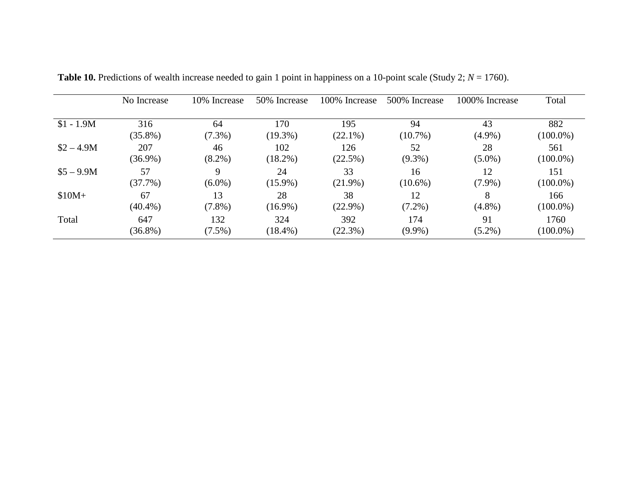|              | No Increase      | 10% Increase    | 50% Increase     | 100% Increase    | 500% Increase   | 1000% Increase | Total              |
|--------------|------------------|-----------------|------------------|------------------|-----------------|----------------|--------------------|
| $$1 - 1.9M$  | 316              | 64              | 170              | 195              | 94              | 43             | 882                |
|              | $(35.8\%)$       | $(7.3\%)$       | $(19.3\%)$       | $(22.1\%)$       | $(10.7\%)$      | $(4.9\%)$      | $(100.0\%)$        |
| $$2 - 4.9M$$ | 207              | 46              | 102              | 126              | 52              | 28             | 561                |
|              | $(36.9\%)$       | $(8.2\%)$       | $(18.2\%)$       | (22.5%)          | $(9.3\%)$       | $(5.0\%)$      | $(100.0\%)$        |
| $$5 - 9.9M$$ | 57               | 9               | 24               | 33               | 16              | 12             | 151                |
|              | $(37.7\%)$       | $(6.0\%)$       | $(15.9\%)$       | $(21.9\%)$       | $(10.6\%)$      | $(7.9\%)$      | $(100.0\%)$        |
| $$10M+$      | 67<br>$(40.4\%)$ | 13<br>$(7.8\%)$ | 28<br>$(16.9\%)$ | 38<br>$(22.9\%)$ | 12<br>$(7.2\%)$ | $(4.8\%)$      | 166<br>$(100.0\%)$ |
| Total        | 647              | 132             | 324              | 392              | 174             | 91             | 1760               |
|              | $(36.8\%)$       | $(7.5\%)$       | $(18.4\%)$       | (22.3%)          | $(9.9\%)$       | $(5.2\%)$      | $(100.0\%)$        |

**Table 10.** Predictions of wealth increase needed to gain 1 point in happiness on a 10-point scale (Study 2;  $N = 1760$ ).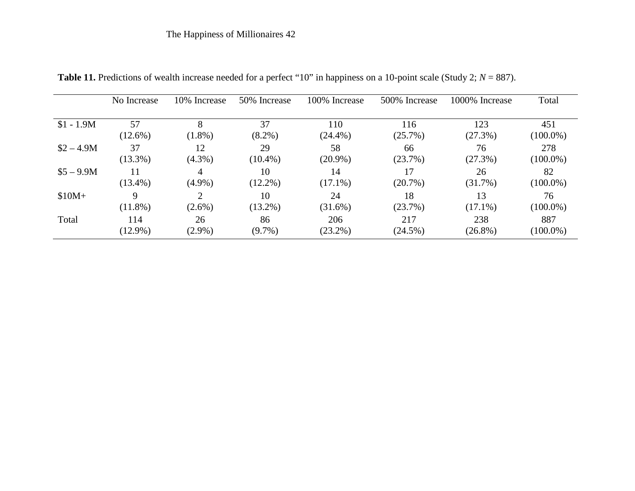|              | No Increase | 10% Increase   | 50% Increase     | 100% Increase    | 500% Increase    | 1000% Increase | Total             |
|--------------|-------------|----------------|------------------|------------------|------------------|----------------|-------------------|
| $$1 - 1.9M$  | 57          | 8              | 37               | 110              | 116              | 123            | 451               |
|              | $(12.6\%)$  | $(1.8\%)$      | $(8.2\%)$        | $(24.4\%)$       | (25.7%)          | (27.3%)        | $(100.0\%)$       |
| $$2 - 4.9M$$ | 37          | 12             | 29               | 58               | 66               | 76             | 278               |
|              | $(13.3\%)$  | $(4.3\%)$      | $(10.4\%)$       | $(20.9\%)$       | (23.7%)          | (27.3%)        | $(100.0\%)$       |
| $$5 - 9.9M$$ | $(13.4\%)$  | 4<br>$(4.9\%)$ | 10<br>$(12.2\%)$ | 14<br>$(17.1\%)$ | 17<br>$(20.7\%)$ | 26<br>(31.7%)  | 82<br>$(100.0\%)$ |
| $$10M+$      | 9           | າ              | 10               | 24               | 18               | 13             | 76                |
|              | $(11.8\%)$  | $(2.6\%)$      | $(13.2\%)$       | $(31.6\%)$       | (23.7%)          | $(17.1\%)$     | $(100.0\%)$       |
| Total        | 114         | 26             | 86               | 206              | 217              | 238            | 887               |
|              | $(12.9\%)$  | $(2.9\%)$      | $(9.7\%)$        | $(23.2\%)$       | $(24.5\%)$       | $(26.8\%)$     | $(100.0\%)$       |

**Table 11.** Predictions of wealth increase needed for a perfect "10" in happiness on a 10-point scale (Study 2; *N* = 887).